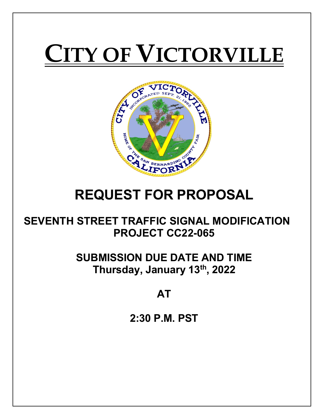# **CITY OF VICTORVILLE**



## **REQUEST FOR PROPOSAL**

## **SEVENTH STREET TRAFFIC SIGNAL MODIFICATION PROJECT CC22-065**

**SUBMISSION DUE DATE AND TIME Thursday, January 13th, 2022**

## **AT**

**2:30 P.M. PST**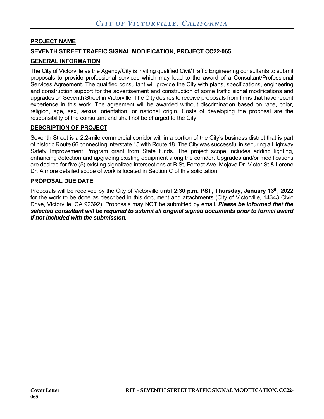#### **PROJECT NAME**

#### **SEVENTH STREET TRAFFIC SIGNAL MODIFICATION, PROJECT CC22-065**

#### **GENERAL INFORMATION**

The City of Victorville as the Agency/City is inviting qualified Civil/Traffic Engineering consultants to submit proposals to provide professional services which may lead to the award of a Consultant/Professional Services Agreement. The qualified consultant will provide the City with plans, specifications, engineering and construction support for the advertisement and construction of some traffic signal modifications and upgrades on Seventh Street in Victorville. The City desires to receive proposals from firms that have recent experience in this work. The agreement will be awarded without discrimination based on race, color, religion, age, sex, sexual orientation, or national origin. Costs of developing the proposal are the responsibility of the consultant and shall not be charged to the City.

#### **DESCRIPTION OF PROJECT**

Seventh Street is a 2.2-mile commercial corridor within a portion of the City's business district that is part of historic Route 66 connecting Interstate 15 with Route 18. The City was successful in securing a Highway Safety Improvement Program grant from State funds. The project scope includes adding lighting, enhancing detection and upgrading existing equipment along the corridor. Upgrades and/or modifications are desired for five (5) existing signalized intersections at B St, Forrest Ave, Mojave Dr, Victor St & Lorene Dr. A more detailed scope of work is located in Section C of this solicitation.

#### **PROPOSAL DUE DATE**

Proposals will be received by the City of Victorville **until 2:30 p.m. PST, Thursday, January 13th, 2022**  for the work to be done as described in this document and attachments (City of Victorville, 14343 Civic Drive, Victorville, CA 92392). Proposals may NOT be submitted by email. *Please be informed that the selected consultant will be required to submit all original signed documents prior to formal award if not included with the submission.*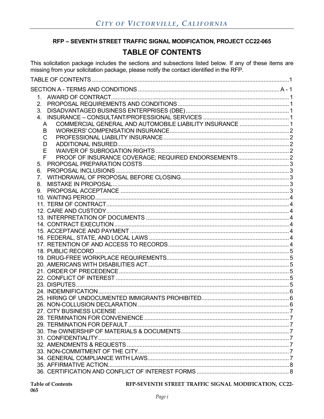## RFP - SEVENTH STREET TRAFFIC SIGNAL MODIFICATION, PROJECT CC22-065 **TABLE OF CONTENTS**

<span id="page-2-0"></span>This solicitation package includes the sections and subsections listed below. If any of these items are missing from your solicitation package, please notify the contact identified in the RFP.

| 2.                                                        |  |
|-----------------------------------------------------------|--|
|                                                           |  |
|                                                           |  |
| A                                                         |  |
| B                                                         |  |
| C                                                         |  |
| D                                                         |  |
| Ε                                                         |  |
| PROOF OF INSURANCE COVERAGE; REQUIRED ENDORSEMENTS 2<br>F |  |
|                                                           |  |
| 6.                                                        |  |
| 7.                                                        |  |
| 8.                                                        |  |
|                                                           |  |
|                                                           |  |
|                                                           |  |
|                                                           |  |
|                                                           |  |
|                                                           |  |
|                                                           |  |
|                                                           |  |
|                                                           |  |
|                                                           |  |
|                                                           |  |
|                                                           |  |
|                                                           |  |
|                                                           |  |
|                                                           |  |
|                                                           |  |
|                                                           |  |
|                                                           |  |
|                                                           |  |
|                                                           |  |
|                                                           |  |
|                                                           |  |
|                                                           |  |
|                                                           |  |
|                                                           |  |
|                                                           |  |
|                                                           |  |
|                                                           |  |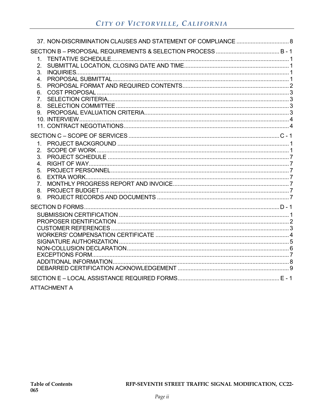| $\mathbf{1}$<br>2.<br>3.<br>4.<br>5.<br>6.<br>$\overline{7}$ .<br>8.<br>9.      |  |
|---------------------------------------------------------------------------------|--|
| $1_{-}$<br>2.<br>3 <sub>1</sub><br>4.<br>5.<br>6.<br>7 <sub>1</sub><br>8.<br>9. |  |
|                                                                                 |  |
|                                                                                 |  |

**ATTACHMENT A** 

#### RFP-SEVENTH STREET TRAFFIC SIGNAL MODIFICATION, CC22-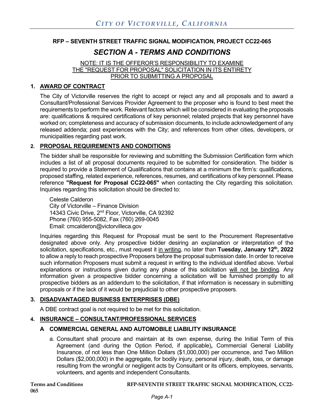#### <span id="page-4-0"></span>**RFP – SEVENTH STREET TRAFFIC SIGNAL MODIFICATION, PROJECT CC22-065**

#### *SECTION A - TERMS AND CONDITIONS*

#### NOTE: IT IS THE OFFEROR'S RESPONSIBILITY TO EXAMINE THE "REQUEST FOR PROPOSAL" SOLICITATION IN ITS ENTIRETY PRIOR TO SUBMITTING A PROPOSAL

#### <span id="page-4-1"></span>**1. AWARD OF CONTRACT**

The City of Victorville reserves the right to accept or reject any and all proposals and to award a Consultant/Professional Services Provider Agreement to the proposer who is found to best meet the requirements to perform the work. Relevant factors which will be considered in evaluating the proposals are: qualifications & required certifications of key personnel; related projects that key personnel have worked on; completeness and accuracy of submission documents, to include acknowledgement of any released addenda; past experiences with the City; and references from other cities, developers, or municipalities regarding past work.

#### <span id="page-4-2"></span>**2. PROPOSAL REQUIREMENTS AND CONDITIONS**

The bidder shall be responsible for reviewing and submitting the Submission Certification form which includes a list of all proposal documents required to be submitted for consideration. The bidder is required to provide a Statement of Qualifications that contains at a minimum the firm's: qualifications, proposed staffing, related experience, references, resumes, and certifications of key personnel. Please reference **"Request for Proposal CC22-065"** when contacting the City regarding this solicitation. Inquiries regarding this solicitation should be directed to:

Celeste Calderon City of Victorville – Finance Division 14343 Civic Drive, 2nd Floor, Victorville, CA 92392 Phone (760) 955-5082, Fax (760) 269-0045 Email: cmcalderon@victorvilleca.gov

Inquiries regarding this Request for Proposal must be sent to the Procurement Representative designated above only. Any prospective bidder desiring an explanation or interpretation of the solicitation, specifications, etc., must request it in writing, no later than **Tuesday, January 12th, 2022** to allow a reply to reach prospective Proposers before the proposal submission date. In order to receive such information Proposers must submit a request in writing to the individual identified above. Verbal explanations or instructions given during any phase of this solicitation will not be binding. Any information given a prospective bidder concerning a solicitation will be furnished promptly to all prospective bidders as an addendum to the solicitation, if that information is necessary in submitting proposals or if the lack of it would be prejudicial to other prospective proposers.

#### <span id="page-4-3"></span>**3. DISADVANTAGED BUSINESS ENTERPRISES (DBE)**

A DBE contract goal is not required to be met for this solicitation.

#### <span id="page-4-5"></span><span id="page-4-4"></span>**4. INSURANCE – CONSULTANT/PROFESSIONAL SERVICES**

#### **A COMMERCIAL GENERAL AND AUTOMOBILE LIABILITY INSURANCE**

a. Consultant shall procure and maintain at its own expense, during the Initial Term of this Agreement (and during the Option Period, if applicable)**,** Commercial General Liability Insurance, of not less than One Million Dollars (\$1,000,000) per occurrence, and Two Million Dollars (\$2,000,000) in the aggregate, for bodily injury, personal injury, death, loss, or damage resulting from the wrongful or negligent acts by Consultant or its officers, employees, servants, volunteers, and agents and independent Consultants.

**065**

#### **Terms and Conditions RFP-SEVENTH STREET TRAFFIC SIGNAL MODIFICATION, CC22-**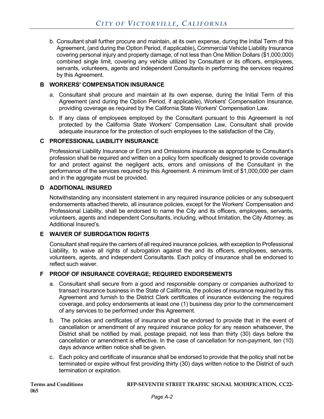b. Consultant shall further procure and maintain, at its own expense, during the Initial Term of this Agreement, (and during the Option Period, if applicable)**,** Commercial Vehicle Liability Insurance covering personal injury and property damage, of not less than One Million Dollars (\$1,000,000) combined single limit, covering any vehicle utilized by Consultant or its officers, employees, servants, volunteers, agents and independent Consultants in performing the services required by this Agreement.

#### <span id="page-5-0"></span>**B WORKERS' COMPENSATION INSURANCE**

- a. Consultant shall procure and maintain at its own expense, during the Initial Term of this Agreement (and during the Option Period, if applicable), Workers' Compensation Insurance, providing coverage as required by the California State Workers' Compensation Law.
- b. If any class of employees employed by the Consultant pursuant to this Agreement is not protected by the California State Workers' Compensation Law, Consultant shall provide adequate insurance for the protection of such employees to the satisfaction of the City.

#### <span id="page-5-1"></span>**C PROFESSIONAL LIABILITY INSURANCE**

Professional Liability Insurance or Errors and Omissions insurance as appropriate to Consultant's profession shall be required and written on a policy form specifically designed to provide coverage for and protect against the negligent acts, errors and omissions of the Consultant in the performance of the services required by this Agreement. A minimum limit of \$1,000,000 per claim and in the aggregate must be provided.

#### <span id="page-5-2"></span>**D ADDITIONAL INSURED**

Notwithstanding any inconsistent statement in any required insurance policies or any subsequent endorsements attached thereto, all insurance policies, except for the Workers' Compensation and Professional Liability, shall be endorsed to name the City and its officers, employees, servants, volunteers, agents and independent Consultants, including, without limitation, the City Attorney, as Additional Insured's.

#### <span id="page-5-3"></span>**E WAIVER OF SUBROGATION RIGHTS**

Consultant shall require the carriers of all required insurance policies, with exception to Professional Liability, to waive all rights of subrogation against the and its officers, employees, servants, volunteers, agents, and independent Consultants. Each policy of insurance shall be endorsed to reflect such waiver.

#### <span id="page-5-4"></span>**F PROOF OF INSURANCE COVERAGE; REQUIRED ENDORSEMENTS**

- a. Consultant shall secure from a good and responsible company or companies authorized to transact insurance business in the State of California, the policies of insurance required by this Agreement and furnish to the District Clerk certificates of insurance evidencing the required coverage, and policy endorsements at least one (1) business day prior to the commencement of any services to be performed under this Agreement.
- b. The policies and certificates of insurance shall be endorsed to provide that in the event of cancellation or amendment of any required insurance policy for any reason whatsoever, the District shall be notified by mail, postage prepaid, not less than thirty (30) days before the cancellation or amendment is effective. In the case of cancellation for non-payment, ten (10) days advance written notice shall be given.
- c. Each policy and certificate of insurance shall be endorsed to provide that the policy shall not be terminated or expire without first providing thirty (30) days written notice to the District of such termination or expiration.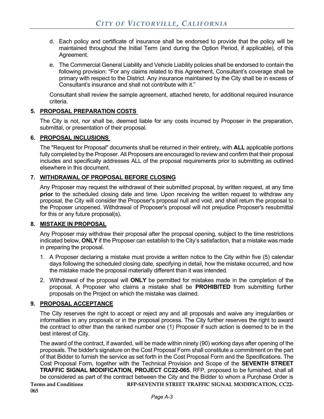- d. Each policy and certificate of insurance shall be endorsed to provide that the policy will be maintained throughout the Initial Term (and during the Option Period, if applicable), of this Agreement.
- e. The Commercial General Liability and Vehicle Liability policies shall be endorsed to contain the following provision: "For any claims related to this Agreement, Consultant's coverage shall be primary with respect to the District. Any insurance maintained by the City shall be in excess of Consultant's insurance and shall not contribute with it."

Consultant shall review the sample agreement, attached hereto, for additional required insurance criteria.

#### <span id="page-6-0"></span>**5. PROPOSAL PREPARATION COSTS**

The City is not, nor shall be, deemed liable for any costs incurred by Proposer in the preparation, submittal, or presentation of their proposal.

#### <span id="page-6-1"></span>**6. PROPOSAL INCLUSIONS**

The "Request for Proposal" documents shall be returned in their entirety, with **ALL** applicable portions fully completed by the Proposer. All Proposers are encouraged to review and confirm that their proposal includes and specifically addresses ALL of the proposal requirements prior to submitting as outlined elsewhere in this document.

#### <span id="page-6-2"></span>**7. WITHDRAWAL OF PROPOSAL BEFORE CLOSING**

Any Proposer may request the withdrawal of their submitted proposal, by written request, at any time **prior** to the scheduled closing date and time. Upon receiving the written request to withdraw any proposal, the City will consider the Proposer's proposal null and void, and shall return the proposal to the Proposer unopened. Withdrawal of Proposer's proposal will not prejudice Proposer's resubmittal for this or any future proposal(s).

#### <span id="page-6-3"></span>**8. MISTAKE IN PROPOSAL**

Any Proposer may withdraw their proposal after the proposal opening, subject to the time restrictions indicated below, **ONLY** if the Proposer can establish to the City's satisfaction, that a mistake was made in preparing the proposal.

- 1. A Proposer declaring a mistake must provide a written notice to the City within five (5) calendar days following the scheduled closing date, specifying in detail, how the mistake occurred, and how the mistake made the proposal materially different than it was intended.
- 2. Withdrawal of the proposal will **ONLY** be permitted for mistakes made in the completion of the proposal. A Proposer who claims a mistake shall be **PROHIBITED** from submitting further proposals on the Project on which the mistake was claimed.

#### <span id="page-6-4"></span>**9. PROPOSAL ACCEPTANCE**

The City reserves the right to accept or reject any and all proposals and waive any irregularities or informalities in any proposals or in the proposal process. The City further reserves the right to award the contract to other than the ranked number one (1) Proposer if such action is deemed to be in the best interest of City.

**Terms and Conditions RFP-SEVENTH STREET TRAFFIC SIGNAL MODIFICATION, CC22- 065** The award of the contract, if awarded, will be made within ninety (90) working days after opening of the proposals. The bidder's signature on the Cost Proposal Form shall constitute a commitment on the part of that Bidder to furnish the service as set forth in the Cost Proposal Form and the Specifications. The Cost Proposal Form, together with the Technical Provision and Scope of the **SEVENTH STREET TRAFFIC SIGNAL MODIFICATION, PROJECT CC22-065.** RFP, proposed to be furnished, shall all be considered as part of the contract between the City and the Bidder to whom a Purchase Order is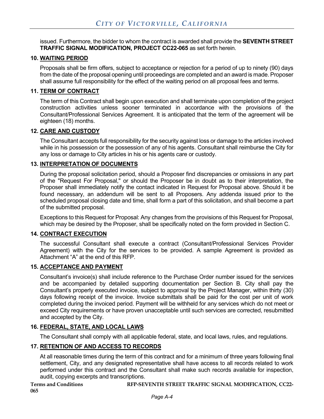issued. Furthermore, the bidder to whom the contract is awarded shall provide the **SEVENTH STREET TRAFFIC SIGNAL MODIFICATION, PROJECT CC22-065** as set forth herein.

#### <span id="page-7-0"></span>**10. WAITING PERIOD**

Proposals shall be firm offers, subject to acceptance or rejection for a period of up to ninety (90) days from the date of the proposal opening until proceedings are completed and an award is made. Proposer shall assume full responsibility for the effect of the waiting period on all proposal fees and terms.

#### <span id="page-7-1"></span>**11. TERM OF CONTRACT**

The term of this Contract shall begin upon execution and shall terminate upon completion of the project construction activities unless sooner terminated in accordance with the provisions of the Consultant/Professional Services Agreement. It is anticipated that the term of the agreement will be eighteen (18) months.

#### <span id="page-7-2"></span>**12. CARE AND CUSTODY**

The Consultant accepts full responsibility for the security against loss or damage to the articles involved while in his possession or the possession of any of his agents. Consultant shall reimburse the City for any loss or damage to City articles in his or his agents care or custody.

#### <span id="page-7-3"></span>**13. INTERPRETATION OF DOCUMENTS**

During the proposal solicitation period, should a Proposer find discrepancies or omissions in any part of the "Request For Proposal," or should the Proposer be in doubt as to their interpretation, the Proposer shall immediately notify the contact indicated in Request for Proposal above. Should it be found necessary, an addendum will be sent to all Proposers. Any addenda issued prior to the scheduled proposal closing date and time, shall form a part of this solicitation, and shall become a part of the submitted proposal.

Exceptions to this Request for Proposal: Any changes from the provisions of this Request for Proposal, which may be desired by the Proposer, shall be specifically noted on the form provided in Section C.

#### <span id="page-7-4"></span>**14. CONTRACT EXECUTION**

The successful Consultant shall execute a contract (Consultant/Professional Services Provider Agreement) with the City for the services to be provided. A sample Agreement is provided as Attachment "A" at the end of this RFP.

#### <span id="page-7-5"></span>**15. ACCEPTANCE AND PAYMENT**

Consultant's invoice(s) shall include reference to the Purchase Order number issued for the services and be accompanied by detailed supporting documentation per Section B. City shall pay the Consultant's properly executed invoice, subject to approval by the Project Manager, within thirty (30) days following receipt of the invoice. Invoice submittals shall be paid for the cost per unit of work completed during the invoiced period. Payment will be withheld for any services which do not meet or exceed City requirements or have proven unacceptable until such services are corrected, resubmitted and accepted by the City.

#### <span id="page-7-6"></span>**16. FEDERAL, STATE, AND LOCAL LAWS**

The Consultant shall comply with all applicable federal, state, and local laws, rules, and regulations.

#### <span id="page-7-7"></span>**17. RETENTION OF AND ACCESS TO RECORDS**

At all reasonable times during the term of this contract and for a minimum of three years following final settlement, City, and any designated representative shall have access to all records related to work performed under this contract and the Consultant shall make such records available for inspection, audit, copying excerpts and transcriptions.

**Terms and Conditions RFP-SEVENTH STREET TRAFFIC SIGNAL MODIFICATION, CC22- 065**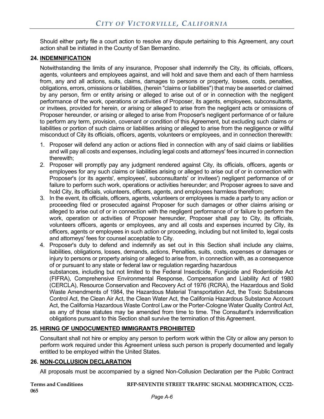Rules of the American Arbitration Association, unless the parties agree, in writing, to some other form of alternative dispute resolution.

#### <span id="page-9-0"></span>**24. INDEMNIFICATION**

Notwithstanding the limits of any insurance, Proposer shall indemnify the City, its officials, officers, agents, volunteers and employees against, and will hold and save them and each of them harmless from, any and all actions, suits, claims, damages to persons or property, losses, costs, penalties, obligations, errors, omissions or liabilities, (herein "claims or liabilities") that may be asserted or claimed by any person, firm or entity arising or alleged to arise out of or in connection with the negligent performance of the work, operations or activities of Proposer, its agents, employees, subconsultants, or invitees, provided for herein, or arising or alleged to arise from the negligent acts or omissions of Proposer hereunder, or arising or alleged to arise from Proposer's negligent performance of or failure to perform any term, provision, covenant or condition of this Agreement, but excluding such claims or liabilities or portion of such claims or liabilities arising or alleged to arise from the negligence or willful misconduct of City its officials, officers, agents, volunteers or employees, and in connection therewith:

- 1. Proposer will defend any action or actions filed in connection with any of said claims or liabilities and will pay all costs and expenses, including legal costs and attorneys' fees incurred in connection therewith;
- 2. Proposer will promptly pay any judgment rendered against City, its officials, officers, agents or employees for any such claims or liabilities arising or alleged to arise out of or in connection with Proposer's (or its agents', employees', subconsultants' or invitees') negligent performance of or failure to perform such work, operations or activities hereunder; and Proposer agrees to save and hold City, its officials, volunteers, officers, agents, and employees harmless therefrom;
- 3. In the event, its officials, officers, agents, volunteers or employees is made a party to any action or proceeding filed or prosecuted against Proposer for such damages or other claims arising or alleged to arise out of or in connection with the negligent performance of or failure to perform the work, operation or activities of Proposer hereunder, Proposer shall pay to City, its officials, volunteers officers, agents or employees, any and all costs and expenses incurred by City, its officers, agents or employees in such action or proceeding, including but not limited to, legal costs and attorneys' fees for counsel acceptable to City.
- 4. Proposer's duty to defend and indemnify as set out in this Section shall include any claims, liabilities, obligations, losses, demands, actions, Penalties, suits, costs, expenses or damages or injury to persons or property arising or alleged to arise from, in connection with, as a consequence of or pursuant to any state or federal law or regulation regarding hazardous substances, including but not limited to the Federal Insecticide, Fungicide and Rodenticide Act (FIFRA), Comprehensive Environmental Response, Compensation and Liability Act of 1980

(CERCLA), Resource Conservation and Recovery Act of 1976 (RCRA), the Hazardous and Solid Waste Amendments of 1984, the Hazardous Material Transportation Act, the Toxic Substances Control Act, the Clean Air Act, the Clean Water Act, the California Hazardous Substance Account Act, the California Hazardous Waste Control Law or the Porter-Cologne Water Quality Control Act, as any of those statutes may be amended from time to time. The Consultant's indemnification obligations pursuant to this Section shall survive the termination of this Agreement.

#### <span id="page-9-1"></span>**25. HIRING OF UNDOCUMENTED IMMIGRANTS PROHIBITED**

Consultant shall not hire or employ any person to perform work within the City or allow any person to perform work required under this Agreement unless such person is properly documented and legally entitled to be employed within the United States.

#### <span id="page-9-2"></span>**26. NON-COLLUSION DECLARATION**

All proposals must be accompanied by a signed Non-Collusion Declaration per the Public Contract

**065**

**Terms and Conditions RFP-SEVENTH STREET TRAFFIC SIGNAL MODIFICATION, CC22-**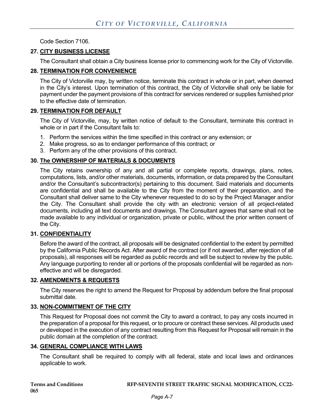Code Section 7106.

#### <span id="page-10-0"></span>**27. CITY BUSINESS LICENSE**

The Consultant shall obtain a City business license prior to commencing work for the City of Victorville.

#### <span id="page-10-1"></span>**28. TERMINATION FOR CONVENIENCE**

The City of Victorville may, by written notice, terminate this contract in whole or in part, when deemed in the City's interest. Upon termination of this contract, the City of Victorville shall only be liable for payment under the payment provisions of this contract for services rendered or supplies furnished prior to the effective date of termination.

#### <span id="page-10-2"></span>**29. TERMINATION FOR DEFAULT**

The City of Victorville, may, by written notice of default to the Consultant, terminate this contract in whole or in part if the Consultant fails to:

- 1. Perform the services within the time specified in this contract or any extension; or
- 2. Make progress, so as to endanger performance of this contract; or
- 3. Perform any of the other provisions of this contract.

#### <span id="page-10-3"></span>**30. The OWNERSHIP OF MATERIALS & DOCUMENTS**

The City retains ownership of any and all partial or complete reports, drawings, plans, notes, computations, lists, and/or other materials, documents, information, or data prepared by the Consultant and/or the Consultant's subcontractor(s) pertaining to this document. Said materials and documents are confidential and shall be available to the City from the moment of their preparation, and the Consultant shall deliver same to the City whenever requested to do so by the Project Manager and/or the City. The Consultant shall provide the city with an electronic version of all project-related documents, including all text documents and drawings. The Consultant agrees that same shall not be made available to any individual or organization, private or public, without the prior written consent of the City.

#### <span id="page-10-4"></span>**31. CONFIDENTIALITY**

Before the award of the contract, all proposals will be designated confidential to the extent by permitted by the California Public Records Act. After award of the contract (or if not awarded, after rejection of all proposals), all responses will be regarded as public records and will be subject to review by the public. Any language purporting to render all or portions of the proposals confidential will be regarded as noneffective and will be disregarded.

#### <span id="page-10-5"></span>**32. AMENDMENTS & REQUESTS**

The City reserves the right to amend the Request for Proposal by addendum before the final proposal submittal date.

#### <span id="page-10-6"></span>**33. NON-COMMITMENT OF THE CITY**

This Request for Proposal does not commit the City to award a contract, to pay any costs incurred in the preparation of a proposal for this request, or to procure or contract these services. All products used or developed in the execution of any contract resulting from this Request for Proposal will remain in the public domain at the completion of the contract.

#### <span id="page-10-7"></span>**34. GENERAL COMPLIANCE WITH LAWS**

The Consultant shall be required to comply with all federal, state and local laws and ordinances applicable to work.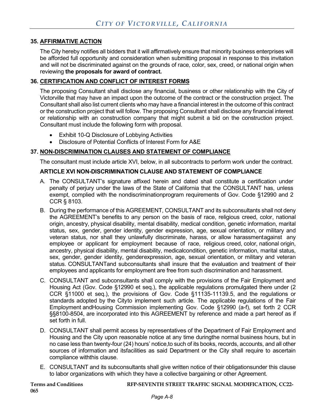#### <span id="page-11-0"></span>**35. AFFIRMATIVE ACTION**

The City hereby notifies all bidders that it will affirmatively ensure that minority business enterprises will be afforded full opportunity and consideration when submitting proposal in response to this invitation and will not be discriminated against on the grounds of race, color, sex, creed, or national origin when reviewing **the proposals for award of contract.**

#### <span id="page-11-1"></span>**36. CERTIFICATION AND CONFLICT OF INTEREST FORMS**

The proposing Consultant shall disclose any financial, business or other relationship with the City of Victorville that may have an impact upon the outcome of the contract or the construction project. The Consultant shall also list current clients who may have a financial interest in the outcome of this contract or the construction project that will follow. The proposing Consultant shall disclose any financial interest or relationship with an construction company that might submit a bid on the construction project. Consultant must include the following form with proposal.

- Exhibit 10-Q Disclosure of Lobbying Activities
- Disclosure of Potential Conflicts of Interest Form for A&E

#### <span id="page-11-2"></span>**37. NON-DISCRIMINATION CLAUSES AND STATEMENT OF COMPLIANCE**

The consultant must include article XVI, below, in all subcontracts to perform work under the contract.

#### **ARTICLE XVI NON-DISCRIMINATION CLAUSE AND STATEMENT OF COMPLIANCE**

- A. The CONSULTANT's signature affixed herein and dated shall constitute a certification under penalty of perjury under the laws of the State of California that the CONSULTANT has, unless exempt, complied with the nondiscriminationprogram requirements of Gov. Code §12990 and 2 CCR § 8103.
- B. During the performance of this AGREEMENT, CONSULTANT and its subconsultants shall not deny the AGREEMENT's benefits to any person on the basis of race, religious creed, color, national origin, ancestry, physical disability, mental disability, medical condition, genetic information, marital status, sex, gender, gender identity, gender expression, age, sexual orientation, or military and veteran status, nor shall they unlawfully discriminate, harass, or allow harassmentagainst any employee or applicant for employment because of race, religious creed, color, national origin, ancestry, physical disability, mental disability, medicalcondition, genetic information, marital status, sex, gender, gender identity, genderexpression, age, sexual orientation, or military and veteran status. CONSULTANTand subconsultants shall insure that the evaluation and treatment of their employees and applicants for employment are free from such discrimination and harassment.
- C. CONSULTANT and subconsultants shall comply with the provisions of the Fair Employment and Housing Act (Gov. Code §12990 et seq.), the applicable regulations promulgated there under (2 CCR §11000 et seq.), the provisions of Gov. Code §11135-11139.5, and the regulations or standards adopted by the Cityto implement such article. The applicable regulations of the Fair Employment andHousing Commission implementing Gov. Code §12990 (a-f), set forth 2 CCR §§8100-8504, are incorporated into this AGREEMENT by reference and made a part hereof as if set forth in full.
- D. CONSULTANT shall permit access by representatives of the Department of Fair Employment and Housing and the City upon reasonable notice at any time duringthe normal business hours, but in no case less than twenty-four (24) hours' notice,to such of its books, records, accounts, and all other sources of information and itsfacilities as said Department or the City shall require to ascertain compliance withthis clause.
- E. CONSULTANT and its subconsultants shall give written notice of their obligationsunder this clause to labor organizations with which they have a collective bargaining or other Agreement.

**065**

**Terms and Conditions RFP-SEVENTH STREET TRAFFIC SIGNAL MODIFICATION, CC22-**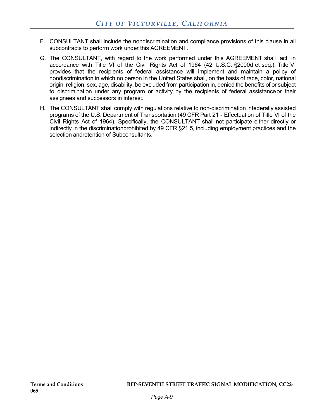- F. CONSULTANT shall include the nondiscrimination and compliance provisions of this clause in all subcontracts to perform work under this AGREEMENT.
- G. The CONSULTANT, with regard to the work performed under this AGREEMENT,shall act in accordance with Title VI of the Civil Rights Act of 1964 (42 U.S.C. §2000d et seq.). Title VI provides that the recipients of federal assistance will implement and maintain a policy of nondiscrimination in which no person in the United States shall, on the basis of race, color, national origin, religion, sex, age, disability, be excluded from participation in, denied the benefits of or subject to discrimination under any program or activity by the recipients of federal assistanceor their assignees and successors in interest.
- H. The CONSULTANT shall comply with regulations relative to non-discrimination infederally assisted programs of the U.S. Department of Transportation (49 CFR Part 21 - Effectuation of Title VI of the Civil Rights Act of 1964). Specifically, the CONSULTANT shall not participate either directly or indirectly in the discriminationprohibited by 49 CFR §21.5, including employment practices and the selection andretention of Subconsultants.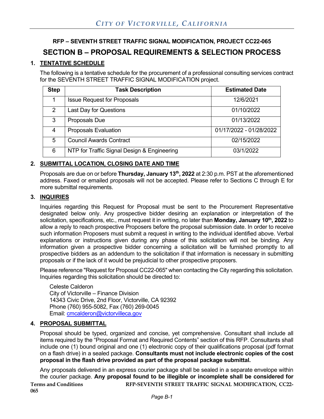## **RFP – SEVENTH STREET TRAFFIC SIGNAL MODIFICATION, PROJECT CC22-065 SECTION B – PROPOSAL REQUIREMENTS & SELECTION PROCESS**

#### <span id="page-13-1"></span><span id="page-13-0"></span>**1. TENTATIVE SCHEDULE**

The following is a tentative schedule for the procurement of a professional consulting services contract for the SEVENTH STREET TRAFFIC SIGNAL MODIFICATION project.

| <b>Step</b> | <b>Task Description</b>                     | <b>Estimated Date</b>   |
|-------------|---------------------------------------------|-------------------------|
|             | <b>Issue Request for Proposals</b>          | 12/6/2021               |
| 2           | Last Day for Questions                      | 01/10/2022              |
| 3           | Proposals Due                               | 01/13/2022              |
| 4           | <b>Proposals Evaluation</b>                 | 01/17/2022 - 01/28/2022 |
| 5           | <b>Council Awards Contract</b>              | 02/15/2022              |
| 6           | NTP for Traffic Signal Design & Engineering | 03/1/2022               |

#### <span id="page-13-2"></span>**2. SUBMITTAL LOCATION, CLOSING DATE AND TIME**

Proposals are due on or before **Thursday, January 13th, 2022** at 2:30 p.m. PST at the aforementioned address. Faxed or emailed proposals will not be accepted. Please refer to Sections C through E for more submittal requirements.

#### <span id="page-13-3"></span>**3. INQUIRIES**

Inquiries regarding this Request for Proposal must be sent to the Procurement Representative designated below only. Any prospective bidder desiring an explanation or interpretation of the solicitation, specifications, etc., must request it in writing, no later than **Monday, January 10<sup>th</sup>, 2022** to allow a reply to reach prospective Proposers before the proposal submission date. In order to receive such information Proposers must submit a request in writing to the individual identified above. Verbal explanations or instructions given during any phase of this solicitation will not be binding. Any information given a prospective bidder concerning a solicitation will be furnished promptly to all prospective bidders as an addendum to the solicitation if that information is necessary in submitting proposals or if the lack of it would be prejudicial to other prospective proposers.

Please reference "Request for Proposal CC22-065" when contacting the City regarding this solicitation. Inquiries regarding this solicitation should be directed to:

Celeste Calderon City of Victorville – Finance Division 14343 Civic Drive, 2nd Floor, Victorville, CA 92392 Phone (760) 955-5082, Fax (760) 269-0045 Email: [cmcalderon@victorvilleca.gov](mailto:cmcalderon@victorvilleca.gov)

#### <span id="page-13-4"></span>**4. PROPOSAL SUBMITTAL**

Proposal should be typed, organized and concise, yet comprehensive. Consultant shall include all items required by the "Proposal Format and Required Contents" section of this RFP. Consultants shall include one (1) bound original and one (1) electronic copy of their qualifications proposal (pdf format on a flash drive) in a sealed package. **Consultants must not include electronic copies of the cost proposal in the flash drive provided as part of the proposal package submittal.**

**Terms and Conditions RFP-SEVENTH STREET TRAFFIC SIGNAL MODIFICATION, CC22- 065** Any proposals delivered in an express courier package shall be sealed in a separate envelope within the courier package. **Any proposal found to be illegible or incomplete shall be considered for**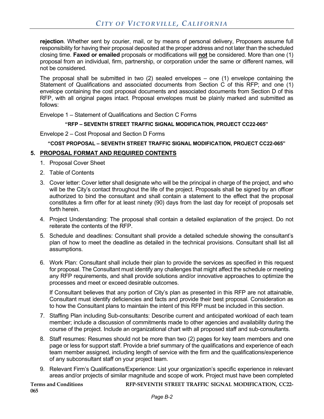**rejection**. Whether sent by courier, mail, or by means of personal delivery, Proposers assume full responsibility for having their proposal deposited at the proper address and not later than the scheduled closing time. **Faxed or emailed** proposals or modifications will **not** be considered. More than one (1) proposal from an individual, firm, partnership, or corporation under the same or different names, will not be considered.

The proposal shall be submitted in two (2) sealed envelopes – one (1) envelope containing the Statement of Qualifications and associated documents from Section C of this RFP; and one (1) envelope containing the cost proposal documents and associated documents from Section D of this RFP, with all original pages intact. Proposal envelopes must be plainly marked and submitted as follows:

Envelope 1 – Statement of Qualifications and Section C Forms

#### **"RFP – SEVENTH STREET TRAFFIC SIGNAL MODIFICATION, PROJECT CC22-065"**

Envelope 2 – Cost Proposal and Section D Forms

#### **"COST PROPOSAL – SEVENTH STREET TRAFFIC SIGNAL MODIFICATION, PROJECT CC22-065"**

#### <span id="page-14-0"></span>**5. PROPOSAL FORMAT AND REQUIRED CONTENTS**

- 1. Proposal Cover Sheet
- 2. Table of Contents
- 3. Cover letter: Cover letter shall designate who will be the principal in charge of the project, and who will be the City's contact throughout the life of the project. Proposals shall be signed by an officer authorized to bind the consultant and shall contain a statement to the effect that the proposal constitutes a firm offer for at least ninety (90) days from the last day for receipt of proposals set forth herein.
- 4. Project Understanding: The proposal shall contain a detailed explanation of the project. Do not reiterate the contents of the RFP.
- 5. Schedule and deadlines: Consultant shall provide a detailed schedule showing the consultant's plan of how to meet the deadline as detailed in the technical provisions. Consultant shall list all assumptions.
- 6. Work Plan: Consultant shall include their plan to provide the services as specified in this request for proposal. The Consultant must identify any challenges that might affect the schedule or meeting any RFP requirements, and shall provide solutions and/or innovative approaches to optimize the processes and meet or exceed desirable outcomes.

If Consultant believes that any portion of City's plan as presented in this RFP are not attainable, Consultant must identify deficiencies and facts and provide their best proposal. Consideration as to how the Consultant plans to maintain the intent of this RFP must be included in this section.

- 7. Staffing Plan including Sub-consultants: Describe current and anticipated workload of each team member; include a discussion of commitments made to other agencies and availability during the course of the project. Include an organizational chart with all proposed staff and sub-consultants.
- 8. Staff resumes: Resumes should not be more than two (2) pages for key team members and one page or less for support staff. Provide a brief summary of the qualifications and experience of each team member assigned, including length of service with the firm and the qualifications/experience of any subconsultant staff on your project team.
- 9. Relevant Firm's Qualifications/Experience: List your organization's specific experience in relevant areas and/or projects of similar magnitude and scope of work. Project must have been completed

**Terms and Conditions RFP-SEVENTH STREET TRAFFIC SIGNAL MODIFICATION, CC22- 065**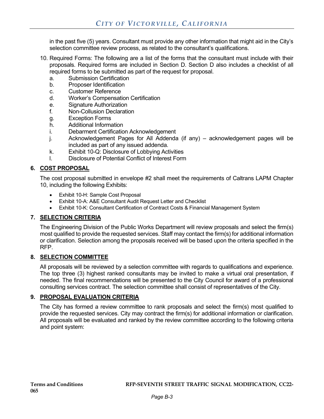in the past five (5) years. Consultant must provide any other information that might aid in the City's selection committee review process, as related to the consultant's qualifications.

- 10. Required Forms: The following are a list of the forms that the consultant must include with their proposals. Required forms are included in Section D. Section D also includes a checklist of all required forms to be submitted as part of the request for proposal.
	- a. Submission Certification
	- b. Proposer Identification
	- c. Customer Reference
	- d. Worker's Compensation Certification
	- e. Signature Authorization
	- Non-Collusion Declaration
	- g. Exception Forms
	- h. Additional Information
	- i. Debarment Certification Acknowledgement
	- j. Acknowledgement Pages for All Addenda (if any) acknowledgement pages will be included as part of any issued addenda.
	- k. Exhibit 10-Q: Disclosure of Lobbying Activities<br>
	Disclosure of Potential Conflict of Interest Form
	- Disclosure of Potential Conflict of Interest Form

#### <span id="page-15-0"></span>**6. COST PROPOSAL**

The cost proposal submitted in envelope #2 shall meet the requirements of Caltrans LAPM Chapter 10, including the following Exhibits:

- Exhibit 10-H: Sample Cost Proposal
- Exhibit 10-A: A&E Consultant Audit Request Letter and Checklist
- Exhibit 10-K: Consultant Certification of Contract Costs & Financial Management System

#### <span id="page-15-1"></span>**7. SELECTION CRITERIA**

The Engineering Division of the Public Works Department will review proposals and select the firm(s) most qualified to provide the requested services. Staff may contact the firm(s) for additional information or clarification. Selection among the proposals received will be based upon the criteria specified in the RFP.

#### <span id="page-15-2"></span>**8. SELECTION COMMITTEE**

All proposals will be reviewed by a selection committee with regards to qualifications and experience. The top three (3) highest ranked consultants may be invited to make a virtual oral presentation, if needed. The final recommendations will be presented to the City Council for award of a professional consulting services contract. The selection committee shall consist of representatives of the City.

#### <span id="page-15-3"></span>**9. PROPOSAL EVALUATION CRITERIA**

The City has formed a review committee to rank proposals and select the firm(s) most qualified to provide the requested services. City may contract the firm(s) for additional information or clarification. All proposals will be evaluated and ranked by the review committee according to the following criteria and point system: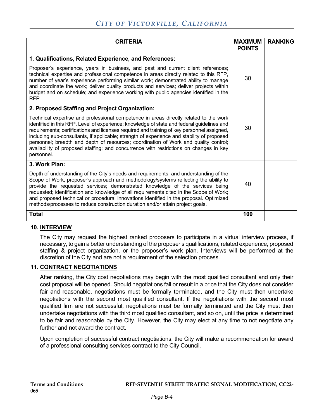| <b>CRITERIA</b>                                                                                                                                                                                                                                                                                                                                                                                                                                                                                                                                                                 | <b>MAXIMUM</b><br><b>POINTS</b> | <b>RANKING</b> |
|---------------------------------------------------------------------------------------------------------------------------------------------------------------------------------------------------------------------------------------------------------------------------------------------------------------------------------------------------------------------------------------------------------------------------------------------------------------------------------------------------------------------------------------------------------------------------------|---------------------------------|----------------|
| 1. Qualifications, Related Experience, and References:                                                                                                                                                                                                                                                                                                                                                                                                                                                                                                                          |                                 |                |
| Proposer's experience, years in business, and past and current client references;<br>technical expertise and professional competence in areas directly related to this RFP,<br>number of year's experience performing similar work; demonstrated ability to manage<br>and coordinate the work; deliver quality products and services; deliver projects within<br>budget and on schedule; and experience working with public agencies identified in the<br>RFP.                                                                                                                  | 30                              |                |
| 2. Proposed Staffing and Project Organization:                                                                                                                                                                                                                                                                                                                                                                                                                                                                                                                                  |                                 |                |
| Technical expertise and professional competence in areas directly related to the work<br>identified in this RFP. Level of experience; knowledge of state and federal guidelines and<br>requirements; certifications and licenses required and training of key personnel assigned,<br>including sub-consultants, if applicable; strength of experience and stability of proposed<br>personnel; breadth and depth of resources; coordination of Work and quality control;<br>availability of proposed staffing; and concurrence with restrictions on changes in key<br>personnel. | 30                              |                |
| 3. Work Plan:                                                                                                                                                                                                                                                                                                                                                                                                                                                                                                                                                                   |                                 |                |
| Depth of understanding of the City's needs and requirements, and understanding of the<br>Scope of Work, proposer's approach and methodology/systems reflecting the ability to<br>provide the requested services; demonstrated knowledge of the services being<br>requested; identification and knowledge of all requirements cited in the Scope of Work;<br>and proposed technical or procedural innovations identified in the proposal. Optimized<br>methods/processes to reduce construction duration and/or attain project goals.                                            | 40                              |                |
| <b>Total</b>                                                                                                                                                                                                                                                                                                                                                                                                                                                                                                                                                                    | 100                             |                |

#### <span id="page-16-0"></span>**10. INTERVIEW**

The City may request the highest ranked proposers to participate in a virtual interview process, if necessary, to gain a better understanding of the proposer's qualifications, related experience, proposed staffing & project organization, or the proposer's work plan. Interviews will be performed at the discretion of the City and are not a requirement of the selection process.

#### <span id="page-16-1"></span>**11. CONTRACT NEGOTIATIONS**

After ranking, the City cost negotiations may begin with the most qualified consultant and only their cost proposal will be opened. Should negotiations fail or result in a price that the City does not consider fair and reasonable, negotiations must be formally terminated, and the City must then undertake negotiations with the second most qualified consultant. If the negotiations with the second most qualified firm are not successful, negotiations must be formally terminated and the City must then undertake negotiations with the third most qualified consultant, and so on, until the price is determined to be fair and reasonable by the City. However, the City may elect at any time to not negotiate any further and not award the contract.

Upon completion of successful contract negotiations, the City will make a recommendation for award of a professional consulting services contract to the City Council.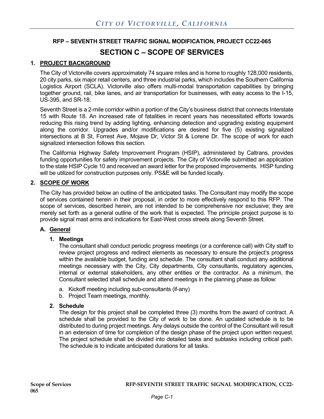### **RFP – SEVENTH STREET TRAFFIC SIGNAL MODIFICATION, PROJECT CC22-065 SECTION C – SCOPE OF SERVICES**

#### <span id="page-17-1"></span><span id="page-17-0"></span>**1. PROJECT BACKGROUND**

The City of Victorville covers approximately 74 square miles and is home to roughly 128,000 residents, 20 city parks, six major retail centers, and three industrial parks, which includes the Southern California Logistics Airport (SCLA). Victorville also offers multi-modal transportation capabilities by bringing together ground, rail, bike lanes, and air transportation for businesses, with easy access to the I-15, US-395, and SR-18.

Seventh Street is a 2-mile corridor within a portion of the City's business district that connects Interstate 15 with Route 18. An increased rate of fatalities in recent years has necessitated efforts towards reducing this rising trend by adding lighting, enhancing detection and upgrading existing equipment along the corridor. Upgrades and/or modifications are desired for five (5) existing signalized intersections at B St, Forrest Ave, Mojave Dr, Victor St & Lorene Dr. The scope of work for each signalized intersection follows this section.

The California Highway Safety Improvement Program (HSIP), administered by Caltrans, provides funding opportunities for safety improvement projects. The City of Victorville submitted an application to the state HSIP Cycle 10 and received an award letter for the proposed improvements. HISP funding will be utilized for construction purposes only. PS&E will be funded locally.

#### <span id="page-17-2"></span>**2. SCOPE OF WORK**

The City has provided below an outline of the anticipated tasks. The Consultant may modify the scope of services contained herein in their proposal, in order to more effectively respond to this RFP. The scope of services, described herein, are not intended to be comprehensive nor exclusive; they are merely set forth as a general outline of the work that is expected. The principle project purpose is to provide signal mast arms and indications for East-West cross streets along Seventh Street.

#### **A. General**

#### **1. Meetings**

The consultant shall conduct periodic progress meetings (or a conference call) with City staff to review project progress and redirect elements as necessary to ensure the project's progress within the available budget, funding and schedule. The consultant shall conduct any additional meetings necessary with the City, City departments, City consultants, regulatory agencies, internal or external stakeholders, any other entities or the contractor. As a minimum, the Consultant selected shall schedule and attend meetings in the planning phase as follow:

- a. Kickoff meeting including sub-consultants (if-any)
- b. Project Team meetings, monthly.

#### **2. Schedule**

The design for this project shall be completed three (3) months from the award of contract. A schedule shall be provided to the City of work to be done. An updated schedule is to be distributed to during project meetings. Any delays outside the control of the Consultant will result in an extension of time for completion of the design phase of the project upon written request. The project schedule shall be divided into detailed tasks and subtasks including critical path. The schedule is to indicate anticipated durations for all tasks.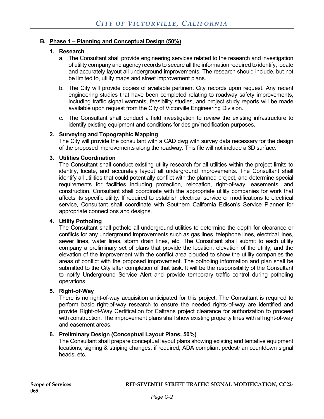#### **B. Phase 1 – Planning and Conceptual Design (50%)**

#### **1. Research**

- a. The Consultant shall provide engineering services related to the research and investigation of utility company and agency records to secure all the information required to identify, locate and accurately layout all underground improvements. The research should include, but not be limited to, utility maps and street improvement plans.
- b. The City will provide copies of available pertinent City records upon request. Any recent engineering studies that have been completed relating to roadway safety improvements, including traffic signal warrants, feasibility studies, and project study reports will be made available upon request from the City of Victorville Engineering Division.
- c. The Consultant shall conduct a field investigation to review the existing infrastructure to identify existing equipment and conditions for design/modification purposes.

#### **2. Surveying and Topographic Mapping**

The City will provide the consultant with a CAD dwg with survey data necessary for the design of the proposed improvements along the roadway. This file will not include a 3D surface.

#### **3. Utilities Coordination**

The Consultant shall conduct existing utility research for all utilities within the project limits to identify, locate, and accurately layout all underground improvements. The Consultant shall identify all utilities that could potentially conflict with the planned project, and determine special requirements for facilities including protection, relocation, right-of-way, easements, and construction. Consultant shall coordinate with the appropriate utility companies for work that affects its specific utility. If required to establish electrical service or modifications to electrical service, Consultant shall coordinate with Southern California Edison's Service Planner for appropriate connections and designs.

#### **4. Utility Potholing**

The Consultant shall pothole all underground utilities to determine the depth for clearance or conflicts for any underground improvements such as gas lines, telephone lines, electrical lines, sewer lines, water lines, storm drain lines, etc. The Consultant shall submit to each utility company a preliminary set of plans that provide the location, elevation of the utility, and the elevation of the improvement with the conflict area clouded to show the utility companies the areas of conflict with the proposed improvement. The potholing information and plan shall be submitted to the City after completion of that task. It will be the responsibility of the Consultant to notify Underground Service Alert and provide temporary traffic control during potholing operations.

#### **5. Right-of-Way**

There is no right-of-way acquisition anticipated for this project. The Consultant is required to perform basic right-of-way research to ensure the needed rights-of-way are identified and provide Right-of-Way Certification for Caltrans project clearance for authorization to proceed with construction. The improvement plans shall show existing property lines with all right-of-way and easement areas.

#### **6. Preliminary Design (Conceptual Layout Plans, 50%)**

The Consultant shall prepare conceptual layout plans showing existing and tentative equipment locations, signing & striping changes, if required, ADA compliant pedestrian countdown signal heads, etc.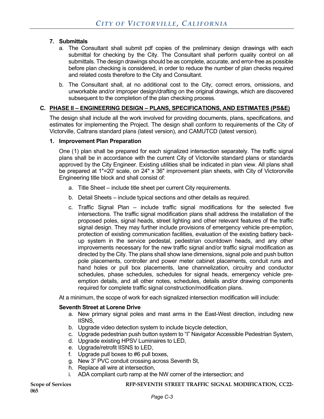#### **7. Submittals**

- a. The Consultant shall submit pdf copies of the preliminary design drawings with each submittal for checking by the City. The Consultant shall perform quality control on all submittals. The design drawings should be as complete, accurate, and error-free as possible before plan checking is considered, in order to reduce the number of plan checks required and related costs therefore to the City and Consultant.
- b. The Consultant shall, at no additional cost to the City, correct errors, omissions, and unworkable and/or improper design/drafting on the original drawings, which are discovered subsequent to the completion of the plan checking process.

#### **C. PHASE II – ENGINEERING DESIGN – PLANS, SPECIFICATIONS, AND ESTIMATES (PS&E)**

The design shall include all the work involved for providing documents, plans, specifications, and estimates for implementing the Project. The design shall conform to requirements of the City of Victorville, Caltrans standard plans (latest version), and CAMUTCD (latest version).

#### **1. Improvement Plan Preparation**

One (1) plan shall be prepared for each signalized intersection separately. The traffic signal plans shall be in accordance with the current City of Victorville standard plans or standards approved by the City Engineer. Existing utilities shall be indicated in plan view. All plans shall be prepared at 1"=20' scale, on 24" x 36" improvement plan sheets, with City of Victororville Engineering title block and shall consist of:

- a. Title Sheet include title sheet per current City requirements.
- b. Detail Sheets include typical sections and other details as required.
- c. Traffic Signal Plan include traffic signal modifications for the selected five intersections. The traffic signal modification plans shall address the installation of the proposed poles, signal heads, street lighting and other relevant features of the traffic signal design. They may further include provisions of emergency vehicle pre-emption, protection of existing communication facilities, evaluation of the existing battery backup system in the service pedestal, pedestrian countdown heads, and any other improvements necessary for the new traffic signal and/or traffic signal modification as directed by the City. The plans shall show lane dimensions, signal pole and push button pole placements, controller and power meter cabinet placements, conduit runs and hand holes or pull box placements, lane channelization, circuitry and conductor schedules, phase schedules, schedules for signal heads, emergency vehicle preemption details, and all other notes, schedules, details and/or drawing components required for complete traffic signal construction/modification plans.

At a minimum, the scope of work for each signalized intersection modification will include:

#### **Seventh Street at Lorene Drive**

- a. New primary signal poles and mast arms in the East-West direction, including new IISNS,
- b. Upgrade video detection system to include bicycle detection,
- c. Upgrade pedestrian push button system to "I" Navigator Accessible Pedestrian System,
- d. Upgrade existing HPSV Luminaires to LED,
- e. Upgrade/retrofit IISNS to LED,
- f. Upgrade pull boxes to #6 pull boxes,
- g. New 3" PVC conduit crossing across Seventh St,
- h. Replace all wire at intersection,
- i. ADA compliant curb ramp at the NW corner of the intersection; and

**065**

**Scope of Services RFP-SEVENTH STREET TRAFFIC SIGNAL MODIFICATION, CC22-**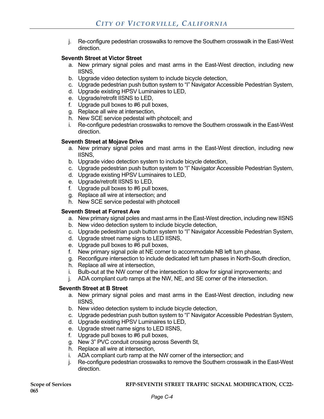j. Re-configure pedestrian crosswalks to remove the Southern crosswalk in the East-West direction.

#### **Seventh Street at Victor Street**

- a. New primary signal poles and mast arms in the East-West direction, including new IISNS,
- b. Upgrade video detection system to include bicycle detection,
- c. Upgrade pedestrian push button system to "I" Navigator Accessible Pedestrian System,
- d. Upgrade existing HPSV Luminaires to LED,
- e. Upgrade/retrofit IISNS to LED,
- f. Upgrade pull boxes to #6 pull boxes,
- g. Replace all wire at intersection,
- h. New SCE service pedestal with photocell; and
- i. Re-configure pedestrian crosswalks to remove the Southern crosswalk in the East-West direction.

#### **Seventh Street at Mojave Drive**

- a. New primary signal poles and mast arms in the East-West direction, including new IISNS,
- b. Upgrade video detection system to include bicycle detection,
- c. Upgrade pedestrian push button system to "I" Navigator Accessible Pedestrian System,
- d. Upgrade existing HPSV Luminaires to LED,
- e. Upgrade/retrofit IISNS to LED,
- f. Upgrade pull boxes to #6 pull boxes,
- g. Replace all wire at intersection; and
- h. New SCE service pedestal with photocell

#### **Seventh Street at Forrest Ave**

- a. New primary signal poles and mast arms in the East-West direction, including new IISNS
- b. New video detection system to include bicycle detection,
- c. Upgrade pedestrian push button system to "I" Navigator Accessible Pedestrian System,
- d. Upgrade street name signs to LED IISNS,
- e. Upgrade pull boxes to #6 pull boxes,
- f. New primary signal pole at NE corner to accommodate NB left turn phase,
- g. Reconfigure intersection to include dedicated left turn phases in North-South direction,
- h. Replace all wire at intersection,
- i. Bulb-out at the NW corner of the intersection to allow for signal improvements; and
- j. ADA compliant curb ramps at the NW, NE, and SE corner of the intersection.

#### **Seventh Street at B Street**

- a. New primary signal poles and mast arms in the East-West direction, including new IISNS,
- b. New video detection system to include bicycle detection,
- c. Upgrade pedestrian push button system to "I" Navigator Accessible Pedestrian System,
- d. Upgrade existing HPSV Luminaires to LED,
- e. Upgrade street name signs to LED IISNS,
- f. Upgrade pull boxes to #6 pull boxes,
- g. New 3" PVC conduit crossing across Seventh St,
- h. Replace all wire at intersection,
- i. ADA compliant curb ramp at the NW corner of the intersection; and
- j. Re-configure pedestrian crosswalks to remove the Southern crosswalk in the East-West direction.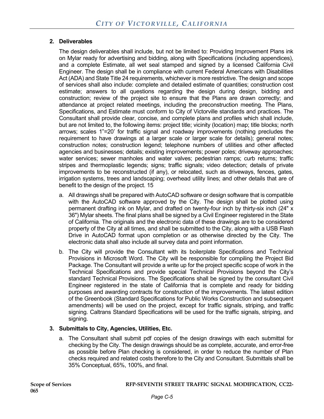#### **2. Deliverables**

The design deliverables shall include, but not be limited to: Providing Improvement Plans ink on Mylar ready for advertising and bidding, along with Specifications (including appendices), and a complete Estimate, all wet seal stamped and signed by a licensed California Civil Engineer. The design shall be in compliance with current Federal Americans with Disabilities Act (ADA) and State Title 24 requirements, whichever is more restrictive. The design and scope of services shall also include: complete and detailed estimate of quantities; construction cost estimate; answers to all questions regarding the design during design, bidding and construction; review of the project site to ensure that the Plans are drawn correctly; and attendance at project related meetings, including the preconstruction meeting. The Plans, Specifications, and Estimate must conform to City of Victorville standards and practices. The Consultant shall provide clear, concise, and complete plans and profiles which shall include, but are not limited to, the following items: project title; vicinity (location) map; title blocks; north arrows; scales 1"=20' for traffic signal and roadway improvements (nothing precludes the requirement to have drawings at a larger scale or larger scale for details); general notes; construction notes; construction legend; telephone numbers of utilities and other affected agencies and businesses; details; existing improvements; power poles; driveway approaches; water services; sewer manholes and water valves; pedestrian ramps; curb returns; traffic stripes and thermoplastic legends; signs; traffic signals; video detection; details of private improvements to be reconstructed (if any), or relocated, such as driveways, fences, gates, irrigation systems, trees and landscaping; overhead utility lines; and other details that are of benefit to the design of the project. 15

- a. All drawings shall be prepared with AutoCAD software or design software that is compatible with the AutoCAD software approved by the City. The design shall be plotted using permanent drafting ink on Mylar, and drafted on twenty-four inch by thirty-six inch (24" x 36") Mylar sheets. The final plans shall be signed by a Civil Engineer registered in the State of California. The originals and the electronic data of these drawings are to be considered property of the City at all times, and shall be submitted to the City, along with a USB Flash Drive in AutoCAD format upon completion or as otherwise directed by the City. The electronic data shall also include all survey data and point information.
- b. The City will provide the Consultant with its boilerplate Specifications and Technical Provisions in Microsoft Word. The City will be responsible for compiling the Project Bid Package. The Consultant will provide a write up for the project specific scope of work in the Technical Specifications and provide special Technical Provisions beyond the City's standard Technical Provisions. The Specifications shall be signed by the consultant Civil Engineer registered in the state of California that is complete and ready for bidding purposes and awarding contracts for construction of the improvements. The latest edition of the Greenbook (Standard Specifications for Public Works Construction and subsequent amendments) will be used on the project, except for traffic signals, striping, and traffic signing. Caltrans Standard Specifications will be used for the traffic signals, striping, and signing.

#### **3. Submittals to City, Agencies, Utilities, Etc.**

a. The Consultant shall submit pdf copies of the design drawings with each submittal for checking by the City. The design drawings should be as complete, accurate, and error-free as possible before Plan checking is considered, in order to reduce the number of Plan checks required and related costs therefore to the City and Consultant. Submittals shall be 35% Conceptual, 65%, 100%, and final.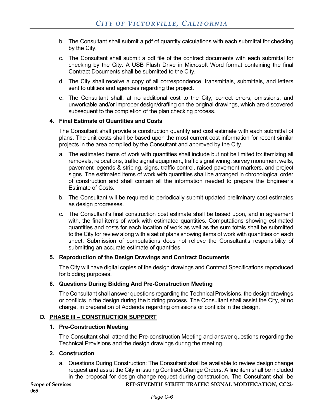- b. The Consultant shall submit a pdf of quantity calculations with each submittal for checking by the City.
- c. The Consultant shall submit a pdf file of the contract documents with each submittal for checking by the City. A USB Flash Drive in Microsoft Word format containing the final Contract Documents shall be submitted to the City.
- d. The City shall receive a copy of all correspondence, transmittals, submittals, and letters sent to utilities and agencies regarding the project.
- e. The Consultant shall, at no additional cost to the City, correct errors, omissions, and unworkable and/or improper design/drafting on the original drawings, which are discovered subsequent to the completion of the plan checking process.

#### **4. Final Estimate of Quantities and Costs**

The Consultant shall provide a construction quantity and cost estimate with each submittal of plans. The unit costs shall be based upon the most current cost information for recent similar projects in the area compiled by the Consultant and approved by the City.

- a. The estimated items of work with quantities shall include but not be limited to: itemizing all removals, relocations, traffic signal equipment, traffic signal wiring, survey monument wells, pavement legends & striping, signs, traffic control, raised pavement markers, and project signs. The estimated items of work with quantities shall be arranged in chronological order of construction and shall contain all the information needed to prepare the Engineer's Estimate of Costs.
- b. The Consultant will be required to periodically submit updated preliminary cost estimates as design progresses.
- c. The Consultant's final construction cost estimate shall be based upon, and in agreement with, the final items of work with estimated quantities. Computations showing estimated quantities and costs for each location of work as well as the sum totals shall be submitted to the City for review along with a set of plans showing items of work with quantities on each sheet. Submission of computations does not relieve the Consultant's responsibility of submitting an accurate estimate of quantities.

#### **5. Reproduction of the Design Drawings and Contract Documents**

The City will have digital copies of the design drawings and Contract Specifications reproduced for bidding purposes.

#### **6. Questions During Bidding And Pre-Construction Meeting**

The Consultant shall answer questions regarding the Technical Provisions, the design drawings or conflicts in the design during the bidding process. The Consultant shall assist the City, at no charge, in preparation of Addenda regarding omissions or conflicts in the design.

#### **D. PHASE III – CONSTRUCTION SUPPORT**

#### **1. Pre-Construction Meeting**

The Consultant shall attend the Pre-construction Meeting and answer questions regarding the Technical Provisions and the design drawings during the meeting.

#### **2. Construction**

a. Questions During Construction: The Consultant shall be available to review design change request and assist the City in issuing Contract Change Orders. A line item shall be included in the proposal for design change request during construction. The Consultant shall be

**065**

**Scope of Services RFP-SEVENTH STREET TRAFFIC SIGNAL MODIFICATION, CC22-**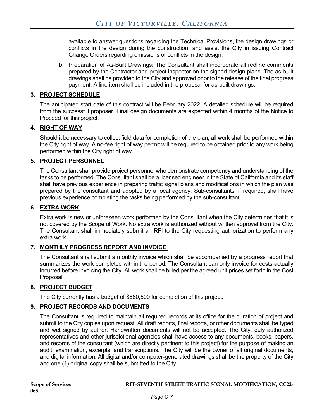available to answer questions regarding the Technical Provisions, the design drawings or conflicts in the design during the construction, and assist the City in issuing Contract Change Orders regarding omissions or conflicts in the design.

b. Preparation of As-Built Drawings: The Consultant shall incorporate all redline comments prepared by the Contractor and project inspector on the signed design plans. The as-built drawings shall be provided to the City and approved prior to the release of the final progress payment. A line item shall be included in the proposal for as-built drawings.

#### <span id="page-23-0"></span>**3. PROJECT SCHEDULE**

The anticipated start date of this contract will be February 2022. A detailed schedule will be required from the successful proposer. Final design documents are expected within 4 months of the Notice to Proceed for this project.

#### <span id="page-23-1"></span>**4. RIGHT OF WAY**

Should it be necessary to collect field data for completion of the plan, all work shall be performed within the City right of way. A no-fee right of way permit will be required to be obtained prior to any work being performed within the City right of way.

#### <span id="page-23-2"></span>**5. PROJECT PERSONNEL**

The Consultant shall provide project personnel who demonstrate competency and understanding of the tasks to be performed. The Consultant shall be a licensed engineer in the State of California and its staff shall have previous experience in preparing traffic signal plans and modifications in which the plan was prepared by the consultant and adopted by a local agency. Sub-consultants, if required, shall have previous experience completing the tasks being performed by the sub-consultant.

#### <span id="page-23-3"></span>**6. EXTRA WORK**

Extra work is new or unforeseen work performed by the Consultant when the City determines that it is not covered by the Scope of Work. No extra work is authorized without written approval from the City. The Consultant shall immediately submit an RFI to the City requesting authorization to perform any extra work.

#### <span id="page-23-4"></span>**7. MONTHLY PROGRESS REPORT AND INVOICE**

The Consultant shall submit a monthly invoice which shall be accompanied by a progress report that summarizes the work completed within the period. The Consultant can only invoice for costs actually incurred before invoicing the City. All work shall be billed per the agreed unit prices set forth in the Cost Proposal.

#### <span id="page-23-5"></span>**8. PROJECT BUDGET**

The City currently has a budget of \$680,500 for completion of this project.

#### <span id="page-23-6"></span>**9. PROJECT RECORDS AND DOCUMENTS**

The Consultant is required to maintain all required records at its office for the duration of project and submit to the City copies upon request. All draft reports, final reports, or other documents shall be typed and wet signed by author. Handwritten documents will not be accepted. The City, duly authorized representatives and other jurisdictional agencies shall have access to any documents, books, papers, and records of the consultant (which are directly pertinent to this project) for the purpose of making an audit, examination, excerpts, and transcriptions. The City will be the owner of all original documents, and digital information. All digital and/or computer-generated drawings shall be the property of the City and one (1) original copy shall be submitted to the City.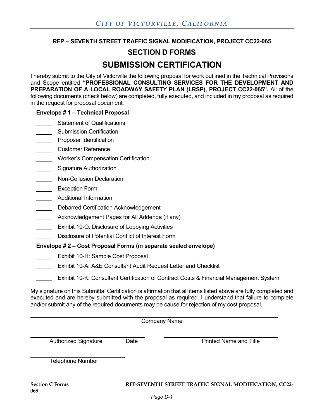## <span id="page-24-0"></span>**RFP – SEVENTH STREET TRAFFIC SIGNAL MODIFICATION, PROJECT CC22-065 SECTION D FORMS SUBMISSION CERTIFICATION**

<span id="page-24-1"></span>I hereby submit to the City of Victorville the following proposal for work outlined in the Technical Provisions and Scope entitled **"SEVENTH STREET TRAFFIC SIGNAL MODIFICATION, PROJECT CC22-065".** All of the following documents (check below) are completed, fully executed, and included in my proposal as required in the request for proposal document:

#### **Envelope # 1 – Technical Proposal**

- Statement of Qualifications
- Submission Certification
- Proposer Identification
- \_\_\_\_\_ Customer Reference
- \_\_\_\_\_ Worker's Compensation Certification
- Signature Authorization
- Non-Collusion Declaration
- \_\_\_\_\_ Exception Form

**065**

- \_\_\_\_\_ Additional Information
- Debarred Certification Acknowledgement
- Acknowledgement Pages for All Addenda (if any)
- Exhibit 10-Q: Disclosure of Lobbying Activities
- Disclosure of Potential Conflict of Interest Form

#### **Envelope # 2 – Cost Proposal Forms (in separate sealed envelope)**

- \_\_\_\_\_ Exhibit 10-H: Sample Cost Proposal
- Exhibit 10-A: A&E Consultant Audit Request Letter and Checklist
- **Exhibit 10-K: Consultant Certification of Contract Costs & Financial Management System**

My signature on this Submittal Certification is affirmation that all items listed above are fully completed and executed and are hereby submitted with the proposal as required. I understand that failure to complete and/or submit any of the required documents may be cause for rejection of my cost proposal.

| <b>Company Name</b>         |      |                                                       |  |
|-----------------------------|------|-------------------------------------------------------|--|
| <b>Authorized Signature</b> | Date | <b>Printed Name and Title</b>                         |  |
| <b>Telephone Number</b>     |      |                                                       |  |
| <b>Section C Forms</b>      |      | RFP-SEVENTH STREET TRAFFIC SIGNAL MODIFICATION, CC22- |  |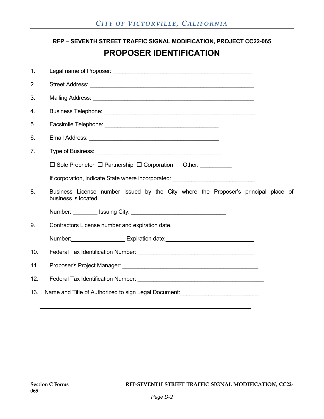## **RFP – SEVENTH STREET TRAFFIC SIGNAL MODIFICATION, PROJECT CC22-065 PROPOSER IDENTIFICATION**

<span id="page-25-0"></span>

| $\mathbf{1}$ . |                                                                                    |  |  |
|----------------|------------------------------------------------------------------------------------|--|--|
| 2.             |                                                                                    |  |  |
| 3.             |                                                                                    |  |  |
| 4.             |                                                                                    |  |  |
| 5.             |                                                                                    |  |  |
| 6.             |                                                                                    |  |  |
| 7.             |                                                                                    |  |  |
|                | □ Sole Proprietor □ Partnership □ Corporation Other: <u>_______</u>                |  |  |
|                | If corporation, indicate State where incorporated: _____________________________   |  |  |
| 8.             | Business License number issued by the City where the Proposer's principal place of |  |  |
|                | business is located.                                                               |  |  |
|                | Number: <u>Late Issuing City: Late Communications of the Island City:</u>          |  |  |
| 9.             | Contractors License number and expiration date.                                    |  |  |
|                |                                                                                    |  |  |
| 10.            |                                                                                    |  |  |
| 11.            |                                                                                    |  |  |
| 12.            | Name and Title of Authorized to sign Legal Document:                               |  |  |

\_\_\_\_\_\_\_\_\_\_\_\_\_\_\_\_\_\_\_\_\_\_\_\_\_\_\_\_\_\_\_\_\_\_\_\_\_\_\_\_\_\_\_\_\_\_\_\_\_\_\_\_\_\_\_\_\_\_\_\_\_\_\_\_\_\_\_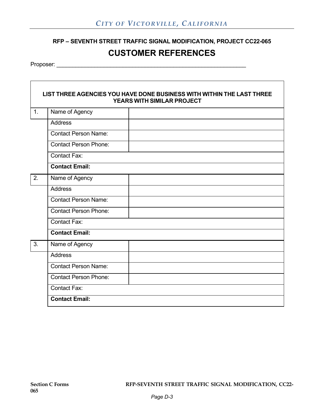## **RFP – SEVENTH STREET TRAFFIC SIGNAL MODIFICATION, PROJECT CC22-065**

## **CUSTOMER REFERENCES**

 $\overline{\phantom{a}}$ 

<u> 1989 - Johann Stoff, deutscher Stoffen und der Stoffen und der Stoffen und der Stoffen und der Stoffen und der</u>

<span id="page-26-0"></span>Proposer:

|    |                              | LIST THREE AGENCIES YOU HAVE DONE BUSINESS WITH WITHIN THE LAST THREE<br>YEARS WITH SIMILAR PROJECT |
|----|------------------------------|-----------------------------------------------------------------------------------------------------|
| 1. | Name of Agency               |                                                                                                     |
|    | <b>Address</b>               |                                                                                                     |
|    | <b>Contact Person Name:</b>  |                                                                                                     |
|    | <b>Contact Person Phone:</b> |                                                                                                     |
|    | <b>Contact Fax:</b>          |                                                                                                     |
|    | <b>Contact Email:</b>        |                                                                                                     |
| 2. | Name of Agency               |                                                                                                     |
|    | <b>Address</b>               |                                                                                                     |
|    | <b>Contact Person Name:</b>  |                                                                                                     |
|    | <b>Contact Person Phone:</b> |                                                                                                     |
|    | <b>Contact Fax:</b>          |                                                                                                     |
|    | <b>Contact Email:</b>        |                                                                                                     |
| 3. | Name of Agency               |                                                                                                     |
|    | <b>Address</b>               |                                                                                                     |
|    | <b>Contact Person Name:</b>  |                                                                                                     |
|    | <b>Contact Person Phone:</b> |                                                                                                     |
|    | <b>Contact Fax:</b>          |                                                                                                     |
|    | <b>Contact Email:</b>        |                                                                                                     |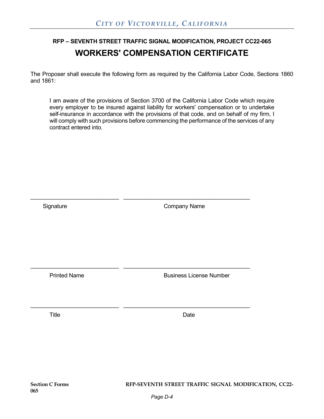## **RFP – SEVENTH STREET TRAFFIC SIGNAL MODIFICATION, PROJECT CC22-065 WORKERS' COMPENSATION CERTIFICATE**

<span id="page-27-0"></span>The Proposer shall execute the following form as required by the California Labor Code, Sections 1860 and 1861:

I am aware of the provisions of Section 3700 of the California Labor Code which require every employer to be insured against liability for workers' compensation or to undertake self-insurance in accordance with the provisions of that code, and on behalf of my firm, I will comply with such provisions before commencing the performance of the services of any contract entered into.



**Section C Forms RFP-SEVENTH STREET TRAFFIC SIGNAL MODIFICATION, CC22-**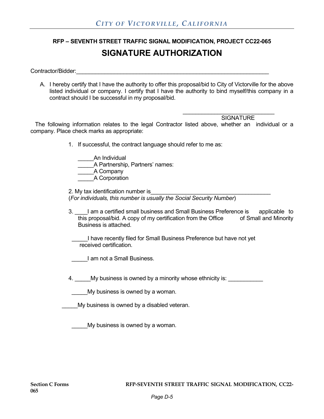## **RFP – SEVENTH STREET TRAFFIC SIGNAL MODIFICATION, PROJECT CC22-065 SIGNATURE AUTHORIZATION**

<span id="page-28-0"></span>Contractor/Bidder:\_\_\_\_\_\_\_\_\_\_\_\_\_\_\_\_\_\_\_\_\_\_\_\_\_\_\_\_\_\_\_\_\_\_\_\_\_\_\_\_\_\_\_\_\_\_\_\_\_\_\_\_\_\_\_\_\_\_\_\_\_

A. I hereby certify that I have the authority to offer this proposal/bid to City of Victorville for the above listed individual or company. I certify that I have the authority to bind myself/this company in a contract should I be successful in my proposal/bid.

**SIGNATURE** 

 $\overline{\phantom{a}}$  , which is a set of the set of the set of the set of the set of the set of the set of the set of the set of the set of the set of the set of the set of the set of the set of the set of the set of the set of th

 The following information relates to the legal Contractor listed above, whether an individual or a company. Place check marks as appropriate:

- 1. If successful, the contract language should refer to me as:
	- \_\_\_\_\_An Individual
	- A Partnership, Partners' names:

\_\_\_\_\_A Company

\_\_\_\_\_A Corporation

2. My tax identification number is (*For individuals, this number is usually the Social Security Number*)

- 3. Lam a certified small business and Small Business Preference is applicable to this proposal/bid. A copy of my certification from the Office of Small and Minority Business is attached.
	- I have recently filed for Small Business Preference but have not yet received certification.

\_\_\_\_\_I am not a Small Business.

4. My business is owned by a minority whose ethnicity is:

My business is owned by a woman.

My business is owned by a disabled veteran.

My business is owned by a woman.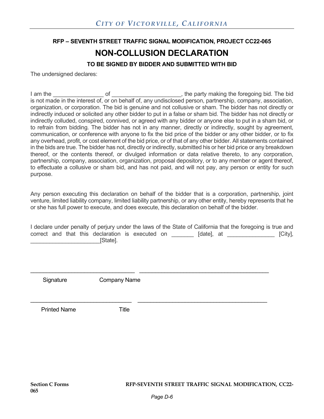## <span id="page-29-0"></span>**RFP – SEVENTH STREET TRAFFIC SIGNAL MODIFICATION, PROJECT CC22-065 NON-COLLUSION DECLARATION**

**TO BE SIGNED BY BIDDER AND SUBMITTED WITH BID**

The undersigned declares:

I am the \_\_\_\_\_\_\_\_\_\_\_\_\_\_\_\_ of \_\_\_\_\_\_\_\_\_\_\_\_\_\_\_\_\_\_\_\_\_\_, the party making the foregoing bid. The bid is not made in the interest of, or on behalf of, any undisclosed person, partnership, company, association, organization, or corporation. The bid is genuine and not collusive or sham. The bidder has not directly or indirectly induced or solicited any other bidder to put in a false or sham bid. The bidder has not directly or indirectly colluded, conspired, connived, or agreed with any bidder or anyone else to put in a sham bid, or to refrain from bidding. The bidder has not in any manner, directly or indirectly, sought by agreement, communication, or conference with anyone to fix the bid price of the bidder or any other bidder, or to fix any overhead, profit, or cost element of the bid price, or of that of any other bidder. All statements contained in the bids are true. The bidder has not, directly or indirectly, submitted his or her bid price or any breakdown thereof, or the contents thereof, or divulged information or data relative thereto, to any corporation, partnership, company, association, organization, proposal depository, or to any member or agent thereof, to effectuate a collusive or sham bid, and has not paid, and will not pay, any person or entity for such purpose.

Any person executing this declaration on behalf of the bidder that is a corporation, partnership, joint venture, limited liability company, limited liability partnership, or any other entity, hereby represents that he or she has full power to execute, and does execute, this declaration on behalf of the bidder.

I declare under penalty of perjury under the laws of the State of California that the foregoing is true and correct and that this declaration is executed on [date], at [City], \_\_\_\_\_\_\_\_\_\_\_\_\_\_\_\_\_\_\_\_\_\_[State].

\_\_\_\_\_\_\_\_\_\_\_\_\_\_\_\_\_\_\_\_\_\_\_\_\_\_\_\_\_\_\_\_\_ \_\_\_\_\_\_\_\_\_\_\_\_\_\_\_\_\_\_\_\_\_\_\_\_\_\_\_\_\_\_\_\_\_\_\_\_\_\_\_\_\_

\_\_\_\_\_\_\_\_\_\_\_\_\_\_\_\_\_\_\_\_\_\_\_\_\_\_\_\_\_\_\_\_ \_\_\_\_\_\_\_\_\_\_\_\_\_\_\_\_\_\_\_\_\_\_\_\_\_\_\_\_\_\_\_\_\_\_\_\_\_\_\_\_\_

Signature Company Name

Printed Name Title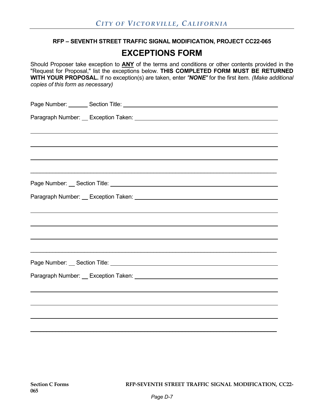## **RFP – SEVENTH STREET TRAFFIC SIGNAL MODIFICATION, PROJECT CC22-065 EXCEPTIONS FORM**

<span id="page-30-0"></span>

| Should Proposer take exception to <b>ANY</b> of the terms and conditions or other contents provided in the<br>"Request for Proposal," list the exceptions below. THIS COMPLETED FORM MUST BE RETURNED<br>WITH YOUR PROPOSAL. If no exception(s) are taken, enter "NONE" for the first item. (Make additional<br>copies of this form as necessary) |  |
|---------------------------------------------------------------------------------------------------------------------------------------------------------------------------------------------------------------------------------------------------------------------------------------------------------------------------------------------------|--|
| Page Number: Section Title: New York Change Number 2014                                                                                                                                                                                                                                                                                           |  |
|                                                                                                                                                                                                                                                                                                                                                   |  |
|                                                                                                                                                                                                                                                                                                                                                   |  |
|                                                                                                                                                                                                                                                                                                                                                   |  |
| Page Number: Section Title: Section Title: Section 1: 100 Section 1: 100 Section 1: 100 Section 1: 100 Section 1: 100 Section 1: 100 Section 1: 100 Section 1: 100 Section 1: 100 Section 1: 100 Section 1: 100 Section 1: 100                                                                                                                    |  |
| Paragraph Number: Exception Taken: University of the Contract of the Contract of the Contract of the Contract o                                                                                                                                                                                                                                   |  |
|                                                                                                                                                                                                                                                                                                                                                   |  |
|                                                                                                                                                                                                                                                                                                                                                   |  |
|                                                                                                                                                                                                                                                                                                                                                   |  |
| Paragraph Number: Exception Taken: University of the Care of the Case of the Case of the Care of the Case of the Case of the Case of the Case of the Case of the Case of the Case of the Case of the Case of the Case of the C                                                                                                                    |  |
|                                                                                                                                                                                                                                                                                                                                                   |  |
|                                                                                                                                                                                                                                                                                                                                                   |  |

 $\mathcal{L}_\mathcal{L} = \mathcal{L}_\mathcal{L} = \mathcal{L}_\mathcal{L} = \mathcal{L}_\mathcal{L} = \mathcal{L}_\mathcal{L} = \mathcal{L}_\mathcal{L} = \mathcal{L}_\mathcal{L} = \mathcal{L}_\mathcal{L} = \mathcal{L}_\mathcal{L} = \mathcal{L}_\mathcal{L} = \mathcal{L}_\mathcal{L} = \mathcal{L}_\mathcal{L} = \mathcal{L}_\mathcal{L} = \mathcal{L}_\mathcal{L} = \mathcal{L}_\mathcal{L} = \mathcal{L}_\mathcal{L} = \mathcal{L}_\mathcal{L}$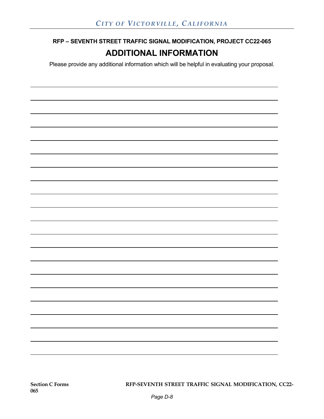## <span id="page-31-0"></span>**RFP – SEVENTH STREET TRAFFIC SIGNAL MODIFICATION, PROJECT CC22-065 ADDITIONAL INFORMATION**

Please provide any additional information which will be helpful in evaluating your proposal.

**065**

**Section C Forms RFP-SEVENTH STREET TRAFFIC SIGNAL MODIFICATION, CC22-**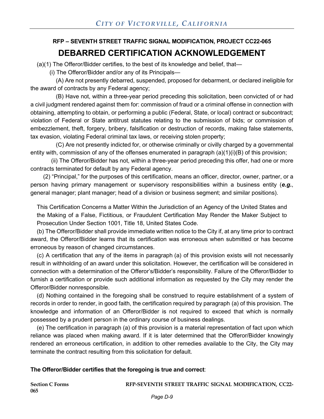## **RFP – SEVENTH STREET TRAFFIC SIGNAL MODIFICATION, PROJECT CC22-065 DEBARRED CERTIFICATION ACKNOWLEDGEMENT**

<span id="page-32-0"></span>(a)(1) The Offeror/Bidder certifies, to the best of its knowledge and belief, that—

(i) The Offeror/Bidder and/or any of its Principals—

(A) Are not presently debarred, suspended, proposed for debarment, or declared ineligible for the award of contracts by any Federal agency;

(B) Have not, within a three-year period preceding this solicitation, been convicted of or had a civil judgment rendered against them for: commission of fraud or a criminal offense in connection with obtaining, attempting to obtain, or performing a public (Federal, State, or local) contract or subcontract; violation of Federal or State antitrust statutes relating to the submission of bids; or commission of embezzlement, theft, forgery, bribery, falsification or destruction of records, making false statements, tax evasion, violating Federal criminal tax laws, or receiving stolen property;

(C) Are not presently indicted for, or otherwise criminally or civilly charged by a governmental entity with, commission of any of the offenses enumerated in paragraph (a)(1)(i)(B) of this provision;

(ii) The Offeror/Bidder has not, within a three-year period preceding this offer, had one or more contracts terminated for default by any Federal agency.

(2) "Principal," for the purposes of this certification, means an officer, director, owner, partner, or a person having primary management or supervisory responsibilities within a business entity (*e.g.*, general manager; plant manager; head of a division or business segment; and similar positions).

This Certification Concerns a Matter Within the Jurisdiction of an Agency of the United States and the Making of a False, Fictitious, or Fraudulent Certification May Render the Maker Subject to Prosecution Under Section 1001, Title 18, United States Code.

(b) The Offeror/Bidder shall provide immediate written notice to the City if, at any time prior to contract award, the Offeror/Bidder learns that its certification was erroneous when submitted or has become erroneous by reason of changed circumstances.

(c) A certification that any of the items in paragraph (a) of this provision exists will not necessarily result in withholding of an award under this solicitation. However, the certification will be considered in connection with a determination of the Offeror's/Bidder's responsibility. Failure of the Offeror/Bidder to furnish a certification or provide such additional information as requested by the City may render the Offeror/Bidder nonresponsible.

(d) Nothing contained in the foregoing shall be construed to require establishment of a system of records in order to render, in good faith, the certification required by paragraph (a) of this provision. The knowledge and information of an Offeror/Bidder is not required to exceed that which is normally possessed by a prudent person in the ordinary course of business dealings.

(e) The certification in paragraph (a) of this provision is a material representation of fact upon which reliance was placed when making award. If it is later determined that the Offeror/Bidder knowingly rendered an erroneous certification, in addition to other remedies available to the City, the City may terminate the contract resulting from this solicitation for default.

#### **The Offeror/Bidder certifies that the foregoing is true and correct**:

**065**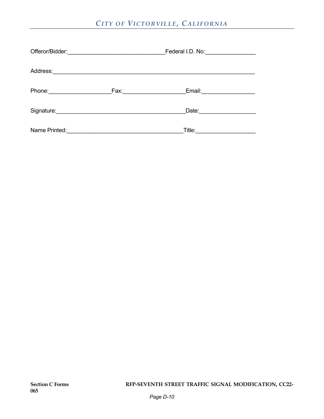### *CITY OF VICTORVILLE, CALIFORNIA*

| Offeror/Bidder: |                                                            | Federal I.D. No: |
|-----------------|------------------------------------------------------------|------------------|
| Address:        |                                                            |                  |
| Phone:          | Fax:                                                       | Email:           |
| Signature:      | <u> 1980 - John Stein, Amerikaansk politiker (</u> † 1920) | Date:            |
| Name Printed:   |                                                            | Title:           |

#### **Section C Forms RFP-SEVENTH STREET TRAFFIC SIGNAL MODIFICATION, CC22-**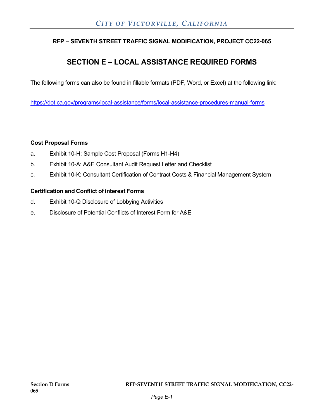#### **RFP – SEVENTH STREET TRAFFIC SIGNAL MODIFICATION, PROJECT CC22-065**

## **SECTION E – LOCAL ASSISTANCE REQUIRED FORMS**

<span id="page-34-0"></span>The following forms can also be found in fillable formats (PDF, Word, or Excel) at the following link:

<https://dot.ca.gov/programs/local-assistance/forms/local-assistance-procedures-manual-forms>

#### **Cost Proposal Forms**

- a. Exhibit 10-H: Sample Cost Proposal (Forms H1-H4)
- b. Exhibit 10-A: A&E Consultant Audit Request Letter and Checklist
- c. Exhibit 10-K: Consultant Certification of Contract Costs & Financial Management System

#### **Certification and Conflict of interest Forms**

- d. Exhibit 10-Q Disclosure of Lobbying Activities
- e. Disclosure of Potential Conflicts of Interest Form for A&E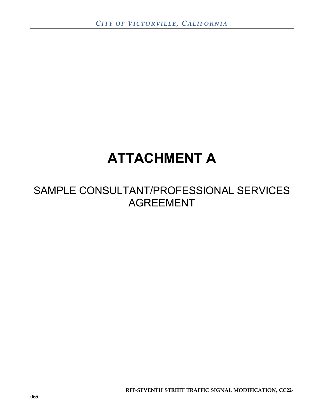## **ATTACHMENT A**

SAMPLE CONSULTANT/PROFESSIONAL SERVICES AGREEMENT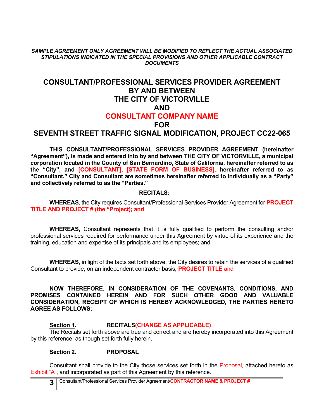#### *SAMPLE AGREEMENT ONLY AGREEMENT WILL BE MODIFIED TO REFLECT THE ACTUAL ASSOCIATED STIPULATIONS INDICATED IN THE SPECIAL PROVISIONS AND OTHER APPLICABLE CONTRACT DOCUMENTS*

#### **CONSULTANT/PROFESSIONAL SERVICES PROVIDER AGREEMENT BY AND BETWEEN THE CITY OF VICTORVILLE AND CONSULTANT COMPANY NAME**

#### **FOR**

#### **SEVENTH STREET TRAFFIC SIGNAL MODIFICATION, PROJECT CC22-065**

**THIS CONSULTANT/PROFESSIONAL SERVICES PROVIDER AGREEMENT (hereinafter "Agreement"), is made and entered into by and between THE CITY OF VICTORVILLE, a municipal corporation located in the County of San Bernardino, State of California, hereinafter referred to as the "City", and [CONSULTANT], [STATE FORM OF BUSINESS], hereinafter referred to as "Consultant." City and Consultant are sometimes hereinafter referred to individually as a "Party" and collectively referred to as the "Parties."**

#### **RECITALS:**

**WHEREAS**, the City requires Consultant/Professional Services Provider Agreement for **PROJECT TITLE AND PROJECT # (the "Project); and**

**WHEREAS,** Consultant represents that it is fully qualified to perform the consulting and/or professional services required for performance under this Agreement by virtue of its experience and the training, education and expertise of its principals and its employees; and

**WHEREAS**, in light of the facts set forth above, the City desires to retain the services of a qualified Consultant to provide, on an independent contractor basis, **PROJECT TITLE** and

#### **NOW THEREFORE, IN CONSIDERATION OF THE COVENANTS, CONDITIONS, AND PROMISES CONTAINED HEREIN AND FOR SUCH OTHER GOOD AND VALUABLE CONSIDERATION, RECEIPT OF WHICH IS HEREBY ACKNOWLEDGED, THE PARTIES HERETO AGREE AS FOLLOWS:**

#### **Section 1. RECITALS(CHANGE AS APPLICABLE)**

The Recitals set forth above are true and correct and are hereby incorporated into this Agreement by this reference, as though set forth fully herein.

#### **Section 2. PROPOSAL**

Consultant shall provide to the City those services set forth in the Proposal, attached hereto as Exhibit "A", and incorporated as part of this Agreement by this reference.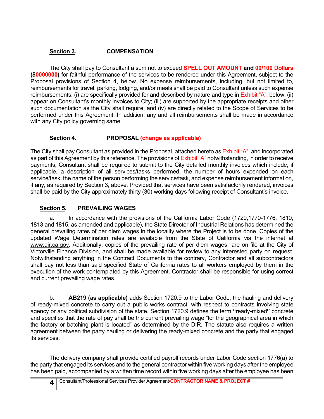#### **Section 3. COMPENSATION**

The City shall pay to Consultant a sum not to exceed **SPELL OUT AMOUNT and 00/100 Dollars (\$0000000)** for faithful performance of the services to be rendered under this Agreement, subject to the Proposal provisions of Section 4, below. No expense reimbursements, including, but not limited to, reimbursements for travel, parking, lodging, and/or meals shall be paid to Consultant unless such expense reimbursements: (i) are specifically provided for and described by nature and type in Exhibit "A", below; (ii) appear on Consultant's monthly invoices to City; (iii) are supported by the appropriate receipts and other such documentation as the City shall require; and (iv) are directly related to the Scope of Services to be performed under this Agreement. In addition, any and all reimbursements shall be made in accordance with any City policy governing same.

#### **Section 4. PROPOSAL (change as applicable)**

The City shall pay Consultant as provided in the Proposal, attached hereto as Exhibit "A", and incorporated as part of this Agreement by this reference. The provisions of Exhibit "A" notwithstanding, in order to receive payments, Consultant shall be required to submit to the City detailed monthly invoices which include, if applicable, a description of all services/tasks performed, the number of hours expended on each service/task, the name of the person performing the service/task, and expense reimbursement information, if any, as required by Section 3, above. Provided that services have been satisfactorily rendered, invoices shall be paid by the City approximately thirty (30) working days following receipt of Consultant's invoice.

#### **Section 5. PREVAILING WAGES**

a. In accordance with the provisions of the California Labor Code (1720,1770-1776, 1810, 1813 and 1815, as amended and applicable), the State Director of Industrial Relations has determined the general prevailing rates of per diem wages in the locality where the Project is to be done. Copies of the updated Wage Determination rates are available from the State of California via the internet at [www.dir.ca.gov.](http://www.dir.ca.gov/) Additionally, copies of the prevailing rate of per diem wages are on file at the City of Victorville Finance Division, and shall be made available for review to any interested party on request. Notwithstanding anything in the Contract Documents to the contrary, Contractor and all subcontractors shall pay not less than said specified State of California rates to all workers employed by them in the execution of the work contemplated by this Agreement. Contractor shall be responsible for using correct and current prevailing wage rates.

b. **AB219 (as applicable)** adds Section 1720.9 to the Labor Code, the hauling and delivery of ready-mixed concrete to carry out a public works contract, with respect to contracts involving state agency or any political subdivision of the state. Section 1720.9 defines the term **"**ready**-**mixed**"** concrete and specifies that the rate of pay shall be the current prevailing wage "for the geographical area in which the factory or batching plant is located" as determined by the DIR. The statute also requires a written agreement between the party hauling or delivering the ready-mixed concrete and the party that engaged its services.

The delivery company shall provide certified payroll records under Labor Code section 1776(a) to the party that engaged its services and to the general contractor within five working days after the employee has been paid, accompanied by a written time record within five working days after the employee has been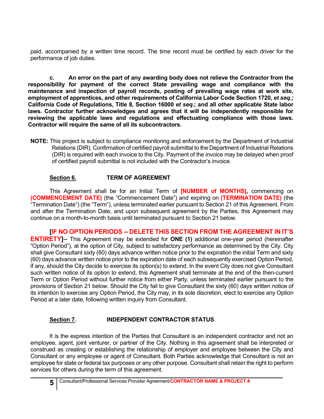paid, accompanied by a written time record. The time record must be certified by each driver for the performance of job duties.

**c. An error on the part of any awarding body does not relieve the Contractor from the responsibility for payment of the correct State prevailing wage and compliance with the maintenance and inspection of payroll records, posting of prevailing wage rates at work site, employment of apprentices, and other requirements of California Labor Code Section 1720,** *et seq.;* **California Code of Regulations, Title 8, Section 16000** *et seq***.; and all other applicable State labor laws. Contractor further acknowledges and agrees that it will be independently responsible for reviewing the applicable laws and regulations and effectuating compliance with those laws. Contractor will require the same of all its subcontractors.**

**NOTE:** This project is subject to compliance monitoring and enforcement by the Department of Industrial Relations (DIR). Confirmation of certified payroll submittal to the Department of Industrial Relations (DIR) is required with each invoice to the City. Payment of the invoice may be delayed when proof of certified payroll submittal is not included with the Contractor's invoice.

#### **Section 6. TERM OF AGREEMENT**

This Agreement shall be for an Initial Term of **[NUMBER of MONTHS],** commencing on **(COMMENCEMENT DATE)** (the "Commencement Date") and expiring on **(TERMINATION DATE)** (the "Termination Date") (the "Term"), unless terminated earlier pursuant to Section 21 of this Agreement. From and after the Termination Date, and upon subsequent agreement by the Parties, this Agreement may continue on a month-to-month basis until terminated pursuant to Section 21 below.

**[IF NO OPTION PERIODS -- DELETE THIS SECTION FROM THE AGREEMENT IN IT'S ENTIRETY]**-- This Agreement may be extended for **ONE (1)** additional one-year period (hereinafter "Option Period"), at the option of City, subject to satisfactory performance as determined by the City. City shall give Consultant sixty (60) days advance written notice prior to the expiration the initial Term and sixty (60) days advance written notice prior to the expiration date of each subsequently exercised Option Period, if any, should the City decide to exercise its option(s) to extend. In the event City does not give Consultant such written notice of its option to extend, this Agreement shall terminate at the end of the then-current Term or Option Period without further notice from either Party, unless terminated earlier pursuant to the provisions of Section 21 below. Should the City fail to give Consultant the sixty (60) days written notice of its intention to exercise any Option Period, the City may, in its sole discretion, elect to exercise any Option Period at a later date, following written inquiry from Consultant.

#### **Section 7. INDEPENDENT CONTRACTOR STATUS**

It is the express intention of the Parties that Consultant is an independent contractor and not an employee, agent, joint venturer, or partner of the City. Nothing in this agreement shall be interpreted or construed as creating or establishing the relationship of employer and employee between the City and Consultant or any employee or agent of Consultant. Both Parties acknowledge that Consultant is not an employee for state or federal tax purposes or any other purpose. Consultant shall retain the right to perform services for others during the term of this agreement.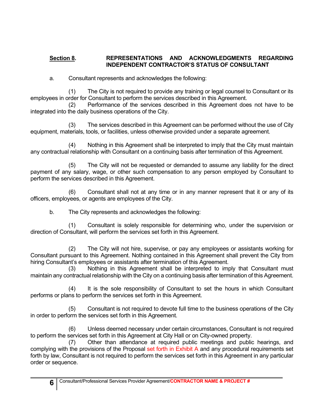#### **Section 8. REPRESENTATIONS AND ACKNOWLEDGMENTS REGARDING INDEPENDENT CONTRACTOR'S STATUS OF CONSULTANT**

a. Consultant represents and acknowledges the following:

(1) The City is not required to provide any training or legal counsel to Consultant or its employees in order for Consultant to perform the services described in this Agreement.

(2) Performance of the services described in this Agreement does not have to be integrated into the daily business operations of the City.

(3) The services described in this Agreement can be performed without the use of City equipment, materials, tools, or facilities, unless otherwise provided under a separate agreement.

(4) Nothing in this Agreement shall be interpreted to imply that the City must maintain any contractual relationship with Consultant on a continuing basis after termination of this Agreement.

(5) The City will not be requested or demanded to assume any liability for the direct payment of any salary, wage, or other such compensation to any person employed by Consultant to perform the services described in this Agreement.

(6) Consultant shall not at any time or in any manner represent that it or any of its officers, employees, or agents are employees of the City.

b. The City represents and acknowledges the following:

(1) Consultant is solely responsible for determining who, under the supervision or direction of Consultant, will perform the services set forth in this Agreement.

(2) The City will not hire, supervise, or pay any employees or assistants working for Consultant pursuant to this Agreement. Nothing contained in this Agreement shall prevent the City from hiring Consultant's employees or assistants after termination of this Agreement.

(3) Nothing in this Agreement shall be interpreted to imply that Consultant must maintain any contractual relationship with the City on a continuing basis after termination of this Agreement.

(4) It is the sole responsibility of Consultant to set the hours in which Consultant performs or plans to perform the services set forth in this Agreement.

(5) Consultant is not required to devote full time to the business operations of the City in order to perform the services set forth in this Agreement.

(6) Unless deemed necessary under certain circumstances, Consultant is not required to perform the services set forth in this Agreement at City Hall or on City-owned property.

(7) Other than attendance at required public meetings and public hearings, and complying with the provisions of the Proposal set forth in Exhibit A and any procedural requirements set forth by law, Consultant is not required to perform the services set forth in this Agreement in any particular order or sequence.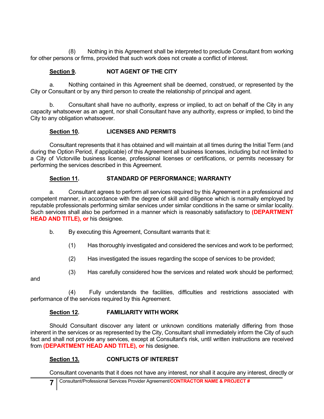(8) Nothing in this Agreement shall be interpreted to preclude Consultant from working for other persons or firms, provided that such work does not create a conflict of interest.

#### **Section 9. NOT AGENT OF THE CITY**

a. Nothing contained in this Agreement shall be deemed, construed, or represented by the City or Consultant or by any third person to create the relationship of principal and agent.

b. Consultant shall have no authority, express or implied, to act on behalf of the City in any capacity whatsoever as an agent, nor shall Consultant have any authority, express or implied, to bind the City to any obligation whatsoever.

#### **Section 10. LICENSES AND PERMITS**

Consultant represents that it has obtained and will maintain at all times during the Initial Term (and during the Option Period, if applicable) of this Agreement all business licenses, including but not limited to a City of Victorville business license, professional licenses or certifications, or permits necessary for performing the services described in this Agreement.

#### **Section 11. STANDARD OF PERFORMANCE; WARRANTY**

a. Consultant agrees to perform all services required by this Agreement in a professional and competent manner, in accordance with the degree of skill and diligence which is normally employed by reputable professionals performing similar services under similar conditions in the same or similar locality. Such services shall also be performed in a manner which is reasonably satisfactory to **(DEPARTMENT HEAD AND TITLE), or** his designee.

b. By executing this Agreement, Consultant warrants that it:

(1) Has thoroughly investigated and considered the services and work to be performed;

(2) Has investigated the issues regarding the scope of services to be provided;

(3) Has carefully considered how the services and related work should be performed;

and

(4) Fully understands the facilities, difficulties and restrictions associated with performance of the services required by this Agreement.

#### **Section 12. FAMILIARITY WITH WORK**

Should Consultant discover any latent or unknown conditions materially differing from those inherent in the services or as represented by the City, Consultant shall immediately inform the City of such fact and shall not provide any services, except at Consultant's risk, until written instructions are received from **(DEPARTMENT HEAD AND TITLE), or** his designee.

#### **Section 13. CONFLICTS OF INTEREST**

Consultant covenants that it does not have any interest, nor shall it acquire any interest, directly or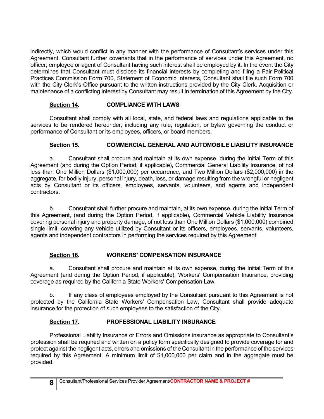indirectly, which would conflict in any manner with the performance of Consultant's services under this Agreement. Consultant further covenants that in the performance of services under this Agreement, no officer, employee or agent of Consultant having such interest shall be employed by it. In the event the City determines that Consultant must disclose its financial interests by completing and filing a Fair Political Practices Commission Form 700, Statement of Economic Interests, Consultant shall file such Form 700 with the City Clerk's Office pursuant to the written instructions provided by the City Clerk. Acquisition or maintenance of a conflicting interest by Consultant may result in termination of this Agreement by the City.

#### **Section 14. COMPLIANCE WITH LAWS**

Consultant shall comply with all local, state, and federal laws and regulations applicable to the services to be rendered hereunder, including any rule, regulation, or bylaw governing the conduct or performance of Consultant or its employees, officers, or board members.

#### **Section 15. COMMERCIAL GENERAL AND AUTOMOBILE LIABILITY INSURANCE**

a. Consultant shall procure and maintain at its own expense, during the Initial Term of this Agreement (and during the Option Period, if applicable)**,** Commercial General Liability Insurance, of not less than One Million Dollars (\$1,000,000) per occurrence, and Two Million Dollars (\$2,000,000) in the aggregate, for bodily injury, personal injury, death, loss, or damage resulting from the wrongful or negligent acts by Consultant or its officers, employees, servants, volunteers, and agents and independent contractors.

b. Consultant shall further procure and maintain, at its own expense, during the Initial Term of this Agreement, (and during the Option Period, if applicable)**,** Commercial Vehicle Liability Insurance covering personal injury and property damage, of not less than One Million Dollars (\$1,000,000) combined single limit, covering any vehicle utilized by Consultant or its officers, employees, servants, volunteers, agents and independent contractors in performing the services required by this Agreement.

#### **Section 16. WORKERS' COMPENSATION INSURANCE**

a. Consultant shall procure and maintain at its own expense, during the Initial Term of this Agreement (and during the Option Period, if applicable), Workers' Compensation Insurance, providing coverage as required by the California State Workers' Compensation Law.

b. If any class of employees employed by the Consultant pursuant to this Agreement is not protected by the California State Workers' Compensation Law, Consultant shall provide adequate insurance for the protection of such employees to the satisfaction of the City.

#### **Section 17. PROFESSIONAL LIABILITY INSURANCE**

Professional Liability Insurance or Errors and Omissions insurance as appropriate to Consultant's profession shall be required and written on a policy form specifically designed to provide coverage for and protect against the negligent acts, errors and omissions of the Consultant in the performance of the services required by this Agreement. A minimum limit of \$1,000,000 per claim and in the aggregate must be provided.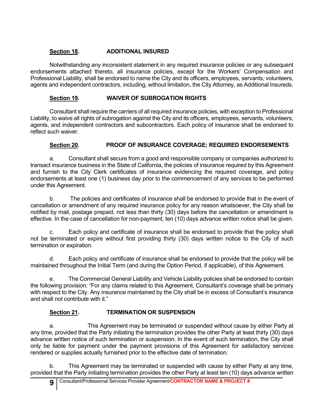#### **Section 18. ADDITIONAL INSURED**

Notwithstanding any inconsistent statement in any required insurance policies or any subsequent endorsements attached thereto, all insurance policies, except for the Workers' Compensation and Professional Liability, shall be endorsed to name the City and its officers, employees, servants, volunteers, agents and independent contractors, including, without limitation, the City Attorney, as Additional Insureds.

#### **Section 19. WAIVER OF SUBROGATION RIGHTS**

Consultant shall require the carriers of all required insurance policies, with exception to Professional Liability, to waive all rights of subrogation against the City and its officers, employees, servants, volunteers, agents, and independent contractors and subcontractors. Each policy of insurance shall be endorsed to reflect such waiver.

#### **Section 20. PROOF OF INSURANCE COVERAGE; REQUIRED ENDORSEMENTS**

a. Consultant shall secure from a good and responsible company or companies authorized to transact insurance business in the State of California, the policies of insurance required by this Agreement and furnish to the City Clerk certificates of insurance evidencing the required coverage, and policy endorsements at least one (1) business day prior to the commencement of any services to be performed under this Agreement.

b. The policies and certificates of insurance shall be endorsed to provide that in the event of cancellation or amendment of any required insurance policy for any reason whatsoever, the City shall be notified by mail, postage prepaid, not less than thirty (30) days before the cancellation or amendment is effective. In the case of cancellation for non-payment, ten (10) days advance written notice shall be given.

c. Each policy and certificate of insurance shall be endorsed to provide that the policy shall not be terminated or expire without first providing thirty (30) days written notice to the City of such termination or expiration.

d. Each policy and certificate of insurance shall be endorsed to provide that the policy will be maintained throughout the Initial Term (and during the Option Period, if applicable), of this Agreement.

e. The Commercial General Liability and Vehicle Liability policies shall be endorsed to contain the following provision: "For any claims related to this Agreement, Consultant's coverage shall be primary with respect to the City. Any insurance maintained by the City shall be in excess of Consultant's insurance and shall not contribute with it."

#### **Section 21. TERMINATION OR SUSPENSION**

a. This Agreement may be terminated or suspended without cause by either Party at any time, provided that the Party initiating the termination provides the other Party at least thirty (30) days advance written notice of such termination or suspension. In the event of such termination, the City shall only be liable for payment under the payment provisions of this Agreement for satisfactory services rendered or supplies actually furnished prior to the effective date of termination.

b. This Agreement may be terminated or suspended with cause by either Party at any time, provided that the Party initiating termination provides the other Party at least ten (10) days advance written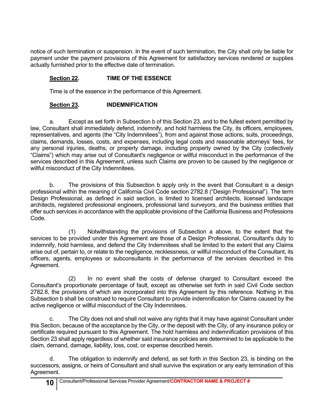notice of such termination or suspension. In the event of such termination, the City shall only be liable for payment under the payment provisions of this Agreement for satisfactory services rendered or supplies actually furnished prior to the effective date of termination.

#### **Section 22. TIME OF THE ESSENCE**

Time is of the essence in the performance of this Agreement.

#### **Section 23. INDEMNIFICATION**

a. Except as set forth in Subsection b of this Section 23, and to the fullest extent permitted by law, Consultant shall immediately defend, indemnify, and hold harmless the City, its officers, employees, representatives, and agents (the "City Indemnitees"), from and against those actions, suits, proceedings, claims, demands, losses, costs, and expenses, including legal costs and reasonable attorneys' fees, for any personal injuries, deaths, or property damage, including property owned by the City (collectively "Claims") which may arise out of Consultant's negligence or willful misconduct in the performance of the services described in this Agreement, unless such Claims are proven to be caused by the negligence or willful misconduct of the City Indemnitees.

b. The provisions of this Subsection b apply only in the event that Consultant is a design professional within the meaning of California Civil Code section 2782.8 ("Design Professional"). The term Design Professional, as defined in said section, is limited to licensed architects, licensed landscape architects, registered professional engineers, professional land surveyors, and the business entities that offer such services in accordance with the applicable provisions of the California Business and Professions Code.

(1) Notwithstanding the provisions of Subsection a above, to the extent that the services to be provided under this Agreement are those of a Design Professional, Consultant's duty to indemnify, hold harmless, and defend the City Indemnitees shall be limited to the extent that any Claims arise out of, pertain to, or relate to the negligence, recklessness, or willful misconduct of the Consultant, its officers, agents, employees or subconsultants in the performance of the services described in this Agreement.

(2) In no event shall the costs of defense charged to Consultant exceed the Consultant's proportionate percentage of fault, except as otherwise set forth in said Civil Code section 2782.8, the provisions of which are incorporated into this Agreement by this reference. Nothing in this Subsection b shall be construed to require Consultant to provide indemnification for Claims caused by the active negligence or willful misconduct of the City Indemnitees.

c. The City does not and shall not waive any rights that it may have against Consultant under this Section, because of the acceptance by the City, or the deposit with the City, of any insurance policy or certificate required pursuant to this Agreement. The hold harmless and indemnification provisions of this Section 23 shall apply regardless of whether said insurance policies are determined to be applicable to the claim, demand, damage, liability, loss, cost, or expense described herein.

d. The obligation to indemnify and defend, as set forth in this Section 23, is binding on the successors, assigns, or heirs of Consultant and shall survive the expiration or any early termination of this Agreement.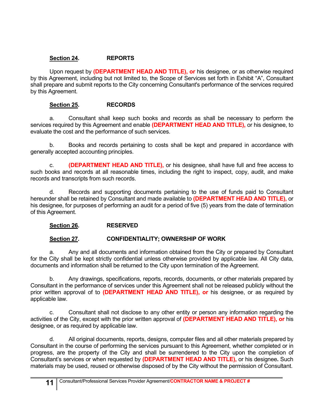#### **Section 24. REPORTS**

Upon request by **(DEPARTMENT HEAD AND TITLE), or** his designee, or as otherwise required by this Agreement, including but not limited to, the Scope of Services set forth in Exhibit "A", Consultant shall prepare and submit reports to the City concerning Consultant's performance of the services required by this Agreement.

#### **Section 25. RECORDS**

a. Consultant shall keep such books and records as shall be necessary to perform the services required by this Agreement and enable **(DEPARTMENT HEAD AND TITLE),** or his designee, to evaluate the cost and the performance of such services.

b. Books and records pertaining to costs shall be kept and prepared in accordance with generally accepted accounting principles.

c. **(DEPARTMENT HEAD AND TITLE),** or his designee, shall have full and free access to such books and records at all reasonable times, including the right to inspect, copy, audit, and make records and transcripts from such records.

d. Records and supporting documents pertaining to the use of funds paid to Consultant hereunder shall be retained by Consultant and made available to **(DEPARTMENT HEAD AND TITLE),** or his designee, for purposes of performing an audit for a period of five (5) years from the date of termination of this Agreement.

#### **Section 26. RESERVED**

#### **Section 27. CONFIDENTIALITY; OWNERSHIP OF WORK**

a. Any and all documents and information obtained from the City or prepared by Consultant for the City shall be kept strictly confidential unless otherwise provided by applicable law. All City data, documents and information shall be returned to the City upon termination of the Agreement.

b. Any drawings, specifications, reports, records, documents, or other materials prepared by Consultant in the performance of services under this Agreement shall not be released publicly without the prior written approval of to **(DEPARTMENT HEAD AND TITLE), or** his designee, or as required by applicable law.

c. Consultant shall not disclose to any other entity or person any information regarding the activities of the City, except with the prior written approval of **(DEPARTMENT HEAD AND TITLE), or** his designee, or as required by applicable law.

d. All original documents, reports, designs, computer files and all other materials prepared by Consultant in the course of performing the services pursuant to this Agreement, whether completed or in progress, are the property of the City and shall be surrendered to the City upon the completion of Consultant's services or when requested by **(DEPARTMENT HEAD AND TITLE),** or his designee**.** Such materials may be used, reused or otherwise disposed of by the City without the permission of Consultant.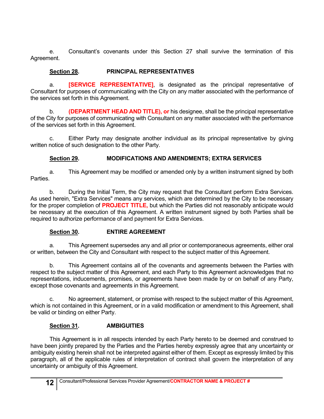e. Consultant's covenants under this Section 27 shall survive the termination of this Agreement.

#### **Section 28. PRINCIPAL REPRESENTATIVES**

a. **[SERVICE REPRESENTATIVE]**, is designated as the principal representative of Consultant for purposes of communicating with the City on any matter associated with the performance of the services set forth in this Agreement.

b. **(DEPARTMENT HEAD AND TITLE), or** his designee, shall be the principal representative of the City for purposes of communicating with Consultant on any matter associated with the performance of the services set forth in this Agreement.

c. Either Party may designate another individual as its principal representative by giving written notice of such designation to the other Party.

#### **Section 29. MODIFICATIONS AND AMENDMENTS; EXTRA SERVICES**

a. This Agreement may be modified or amended only by a written instrument signed by both Parties.

b. During the Initial Term, the City may request that the Consultant perform Extra Services. As used herein, "Extra Services" means any services, which are determined by the City to be necessary for the proper completion of **PROJECT TITLE,** but which the Parties did not reasonably anticipate would be necessary at the execution of this Agreement. A written instrument signed by both Parties shall be required to authorize performance of and payment for Extra Services.

#### **Section 30. ENTIRE AGREEMENT**

a. This Agreement supersedes any and all prior or contemporaneous agreements, either oral or written, between the City and Consultant with respect to the subject matter of this Agreement.

b. This Agreement contains all of the covenants and agreements between the Parties with respect to the subject matter of this Agreement, and each Party to this Agreement acknowledges that no representations, inducements, promises, or agreements have been made by or on behalf of any Party, except those covenants and agreements in this Agreement.

c. No agreement, statement, or promise with respect to the subject matter of this Agreement, which is not contained in this Agreement, or in a valid modification or amendment to this Agreement, shall be valid or binding on either Party.

#### **Section 31. AMBIGUITIES**

This Agreement is in all respects intended by each Party hereto to be deemed and construed to have been jointly prepared by the Parties and the Parties hereby expressly agree that any uncertainty or ambiguity existing herein shall not be interpreted against either of them. Except as expressly limited by this paragraph, all of the applicable rules of interpretation of contract shall govern the interpretation of any uncertainty or ambiguity of this Agreement.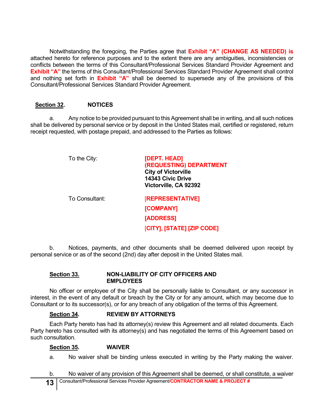Notwithstanding the foregoing, the Parties agree that **Exhibit "A" (CHANGE AS NEEDED) is** attached hereto for reference purposes and to the extent there are any ambiguities, inconsistencies or conflicts between the terms of this Consultant/Professional Services Standard Provider Agreement and **Exhibit "A"** the terms of this Consultant/Professional Services Standard Provider Agreement shall control and nothing set forth in **Exhibit "A"** shall be deemed to supersede any of the provisions of this Consultant/Professional Services Standard Provider Agreement.

#### **Section 32. NOTICES**

a. Any notice to be provided pursuant to this Agreement shall be in writing, and all such notices shall be delivered by personal service or by deposit in the United States mail, certified or registered, return receipt requested, with postage prepaid, and addressed to the Parties as follows:

| To the City:   | [DEPT. HEAD]<br>(REQUESTING) DEPARTMENT<br><b>City of Victorville</b><br>14343 Civic Drive<br>Victorville, CA 92392 |
|----------------|---------------------------------------------------------------------------------------------------------------------|
| To Consultant: | [REPRESENTATIVE]                                                                                                    |
|                | [COMPANY]                                                                                                           |
|                | [ADDRESS]                                                                                                           |
|                | <b>[CITY], [STATE] [ZIP CODE]</b>                                                                                   |

b. Notices, payments, and other documents shall be deemed delivered upon receipt by personal service or as of the second (2nd) day after deposit in the United States mail.

#### **Section 33. NON-LIABILITY OF CITY OFFICERS AND EMPLOYEES**

No officer or employee of the City shall be personally liable to Consultant, or any successor in interest, in the event of any default or breach by the City or for any amount, which may become due to Consultant or to its successor(s), or for any breach of any obligation of the terms of this Agreement.

#### **Section 34. REVIEW BY ATTORNEYS**

Each Party hereto has had its attorney(s) review this Agreement and all related documents. Each Party hereto has consulted with its attorney(s) and has negotiated the terms of this Agreement based on such consultation.

#### **Section 35. WAIVER**

a. No waiver shall be binding unless executed in writing by the Party making the waiver.

**13** Consultant/Professional Services Provider Agreement/**CONTRACTOR NAME & PROJECT #** b. No waiver of any provision of this Agreement shall be deemed, or shall constitute, a waiver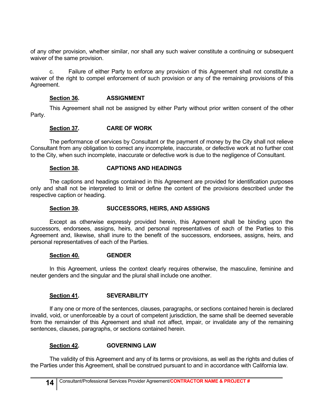of any other provision, whether similar, nor shall any such waiver constitute a continuing or subsequent waiver of the same provision.

c. Failure of either Party to enforce any provision of this Agreement shall not constitute a waiver of the right to compel enforcement of such provision or any of the remaining provisions of this Agreement.

#### **Section 36. ASSIGNMENT**

This Agreement shall not be assigned by either Party without prior written consent of the other Party.

#### **Section 37. CARE OF WORK**

The performance of services by Consultant or the payment of money by the City shall not relieve Consultant from any obligation to correct any incomplete, inaccurate, or defective work at no further cost to the City, when such incomplete, inaccurate or defective work is due to the negligence of Consultant.

#### **Section 38. CAPTIONS AND HEADINGS**

The captions and headings contained in this Agreement are provided for identification purposes only and shall not be interpreted to limit or define the content of the provisions described under the respective caption or heading.

#### **Section 39. SUCCESSORS, HEIRS, AND ASSIGNS**

Except as otherwise expressly provided herein, this Agreement shall be binding upon the successors, endorsees, assigns, heirs, and personal representatives of each of the Parties to this Agreement and, likewise, shall inure to the benefit of the successors, endorsees, assigns, heirs, and personal representatives of each of the Parties.

#### **Section 40. GENDER**

In this Agreement, unless the context clearly requires otherwise, the masculine, feminine and neuter genders and the singular and the plural shall include one another.

#### **Section 41. SEVERABILITY**

If any one or more of the sentences, clauses, paragraphs, or sections contained herein is declared invalid, void, or unenforceable by a court of competent jurisdiction, the same shall be deemed severable from the remainder of this Agreement and shall not affect, impair, or invalidate any of the remaining sentences, clauses, paragraphs, or sections contained herein.

#### **Section 42. GOVERNING LAW**

The validity of this Agreement and any of its terms or provisions, as well as the rights and duties of the Parties under this Agreement, shall be construed pursuant to and in accordance with California law.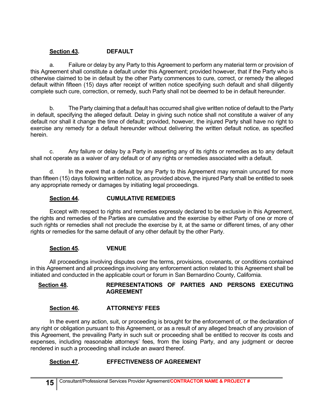#### **Section 43. DEFAULT**

a. Failure or delay by any Party to this Agreement to perform any material term or provision of this Agreement shall constitute a default under this Agreement; provided however, that if the Party who is otherwise claimed to be in default by the other Party commences to cure, correct, or remedy the alleged default within fifteen (15) days after receipt of written notice specifying such default and shall diligently complete such cure, correction, or remedy, such Party shall not be deemed to be in default hereunder.

b. The Party claiming that a default has occurred shall give written notice of default to the Party in default, specifying the alleged default. Delay in giving such notice shall not constitute a waiver of any default nor shall it change the time of default; provided, however, the injured Party shall have no right to exercise any remedy for a default hereunder without delivering the written default notice, as specified herein.

c. Any failure or delay by a Party in asserting any of its rights or remedies as to any default shall not operate as a waiver of any default or of any rights or remedies associated with a default.

d. In the event that a default by any Party to this Agreement may remain uncured for more than fifteen (15) days following written notice, as provided above, the injured Party shall be entitled to seek any appropriate remedy or damages by initiating legal proceedings.

#### **Section 44. CUMULATIVE REMEDIES**

Except with respect to rights and remedies expressly declared to be exclusive in this Agreement, the rights and remedies of the Parties are cumulative and the exercise by either Party of one or more of such rights or remedies shall not preclude the exercise by it, at the same or different times, of any other rights or remedies for the same default of any other default by the other Party.

#### **Section 45. VENUE**

All proceedings involving disputes over the terms, provisions, covenants, or conditions contained in this Agreement and all proceedings involving any enforcement action related to this Agreement shall be initiated and conducted in the applicable court or forum in San Bernardino County, California.

#### **Section 48. REPRESENTATIONS OF PARTIES AND PERSONS EXECUTING AGREEMENT**

#### **Section 46. ATTORNEYS' FEES**

In the event any action, suit, or proceeding is brought for the enforcement of, or the declaration of any right or obligation pursuant to this Agreement, or as a result of any alleged breach of any provision of this Agreement, the prevailing Party in such suit or proceeding shall be entitled to recover its costs and expenses, including reasonable attorneys' fees, from the losing Party, and any judgment or decree rendered in such a proceeding shall include an award thereof.

#### **Section 47. EFFECTIVENESS OF AGREEMENT**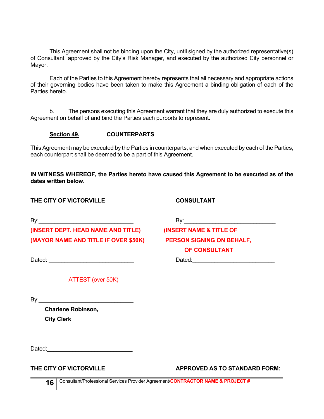This Agreement shall not be binding upon the City, until signed by the authorized representative(s) of Consultant, approved by the City's Risk Manager, and executed by the authorized City personnel or Mayor.

Each of the Parties to this Agreement hereby represents that all necessary and appropriate actions of their governing bodies have been taken to make this Agreement a binding obligation of each of the Parties hereto.

b. The persons executing this Agreement warrant that they are duly authorized to execute this Agreement on behalf of and bind the Parties each purports to represent.

#### **Section 49. COUNTERPARTS**

This Agreement may be executed by the Parties in counterparts, and when executed by each of the Parties, each counterpart shall be deemed to be a part of this Agreement.

**IN WITNESS WHEREOF, the Parties hereto have caused this Agreement to be executed as of the dates written below.**

THE CITY OF VICTORVILLE **CONSULTANT** 

**(INSERT DEPT. HEAD NAME AND TITLE) (INSERT NAME & TITLE OF (MAYOR NAME AND TITLE IF OVER \$50K) PERSON SIGNING ON BEHALF,**

Dated: \_\_\_\_\_\_\_\_\_\_\_\_\_\_\_\_\_\_\_\_\_\_\_\_\_\_\_ Dated:\_\_\_\_\_\_\_\_\_\_\_\_\_\_\_\_\_\_\_\_\_\_\_\_\_\_

ATTEST (over 50K)

By:\_\_\_\_\_\_\_\_\_\_\_\_\_\_\_\_\_\_\_\_\_\_\_\_\_\_\_\_\_\_

**Charlene Robinson, City Clerk**

Dated:

**THE CITY OF VICTORVILLE APPROVED AS TO STANDARD FORM:** 

**16** Consultant/Professional Services Provider Agreement/**CONTRACTOR NAME & PROJECT #**

 **OF CONSULTANT**

By:  $\Box$